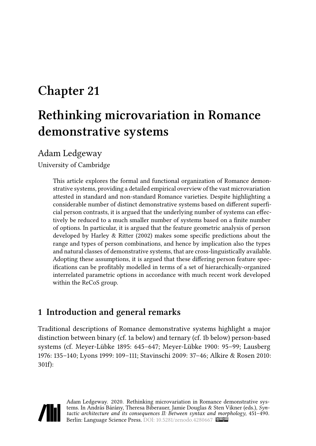# **Chapter 21**

# **Rethinking microvariation in Romance demonstrative systems**

Adam Ledgeway

University of Cambridge

This article explores the formal and functional organization of Romance demonstrative systems, providing a detailed empirical overview of the vast microvariation attested in standard and non-standard Romance varieties. Despite highlighting a considerable number of distinct demonstrative systems based on different superficial person contrasts, it is argued that the underlying number of systems can effectively be reduced to a much smaller number of systems based on a finite number of options. In particular, it is argued that the feature geometric analysis of person developed by [Harley & Ritter \(2002\)](#page-33-0) makes some specific predictions about the range and types of person combinations, and hence by implication also the types and natural classes of demonstrative systems, that are cross-linguistically available. Adopting these assumptions, it is argued that these differing person feature specifications can be profitably modelled in terms of a set of hierarchically-organized interrelated parametric options in accordance with much recent work developed within the ReCoS group.

### **1 Introduction and general remarks**

Traditional descriptions of Romance demonstrative systems highlight a major distinction between binary (cf. [1](#page-1-0)a below) and ternary (cf. [1](#page-1-0)b below) person-based systems (cf. [Meyer-Lübke 1895](#page-36-0): 645–647; [Meyer-Lübke 1900:](#page-36-1) 95–99; [Lausberg](#page-34-0) [1976:](#page-34-0) 135–140; [Lyons 1999](#page-35-0): 109–111; [Stavinschi 2009:](#page-38-0) 37–46; [Alkire & Rosen 2010](#page-30-0): 301f):

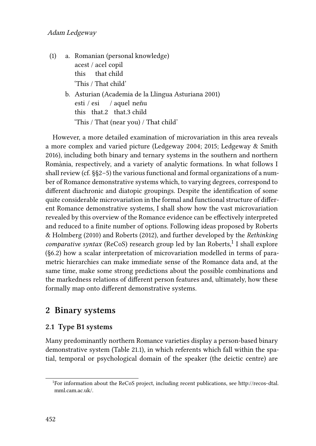- <span id="page-1-0"></span>(1) a. Romanian (personal knowledge) acest / acel copil this that child 'This / That child'
	- b. Asturian([Academia de la Llingua Asturiana 2001](#page-30-1)) esti / esi this that.2 that.3 child / aquel neñu 'This / That (near you) / That child'

However, a more detailed examination of microvariation in this area reveals a more complex and varied picture([Ledgeway 2004;](#page-34-1) [2015](#page-35-1); [Ledgeway & Smith](#page-35-2) [2016](#page-35-2)), including both binary and ternary systems in the southern and northern Romània, respectively, and a variety of analytic formations. In what follows I shall review (cf. §§[2–](#page-1-1)[5\)](#page-22-0) the various functional and formal organizations of a number of Romance demonstrative systems which, to varying degrees, correspond to different diachronic and diatopic groupings. Despite the identification of some quite considerable microvariation in the formal and functional structure of different Romance demonstrative systems, I shall show how the vast microvariation revealed by this overview of the Romance evidence can be effectively interpreted and reduced to a finite number of options. Following ideas proposed by [Roberts](#page-37-0) [& Holmberg \(2010\)](#page-37-0) and [Roberts \(2012\)](#page-37-1), and further developed by the *Rethinking* comparative syntax (ReCoS) research group led by Ian Roberts,<sup>1</sup> I shall explore (§[6.2](#page-22-1)) how a scalar interpretation of microvariation modelled in terms of parametric hierarchies can make immediate sense of the Romance data and, at the same time, make some strong predictions about the possible combinations and the markedness relations of different person features and, ultimately, how these formally map onto different demonstrative systems.

## <span id="page-1-1"></span>**2 Binary systems**

#### <span id="page-1-2"></span>**2.1 Type B1 systems**

Many predominantly northern Romance varieties display a person-based binary demonstrative system (Table [21.1](#page-2-0)), in which referents which fall within the spatial, temporal or psychological domain of the speaker (the deictic centre) are

<sup>1</sup> For information about the ReCoS project, including recent publications, see [http://recos-dtal.](http://recos-dtal.mml.cam.ac.uk/) [mml.cam.ac.uk/.](http://recos-dtal.mml.cam.ac.uk/)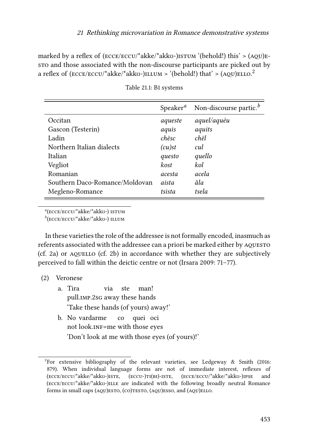marked by a reflex of  $(\text{ECCE/ECCU}^*)$  akko-)ISTUM '(behold!) this' >  $(AQU)E$ sto and those associated with the non-discourse participants are picked out by a reflex of (ECCE/ECCU/\*akke/\*akkʊ-) $\hbox{\tt ILUM} > \hbox{\tt (behold!)}$  that' > (AQU)ELLO. $^2$ 

<span id="page-2-0"></span>

|                                | $S$ peaker <sup><i>a</i></sup> | Non-discourse partic. $b$ |
|--------------------------------|--------------------------------|---------------------------|
| Occitan                        | aqueste                        | aquel/aquéu               |
| Gascon (Testerin)              | aquis                          | aquits                    |
| Ladin                          | chësc                          | chël                      |
| Northern Italian dialects      | $(cu)$ st                      | cul.                      |
| Italian                        | questo                         | quello                    |
| Vegliot                        | kost                           | kol                       |
| Romanian                       | acesta                         | acela                     |
| Southern Daco-Romance/Moldovan | aista                          | ăla                       |
| Megleno-Romance                | tsista                         | tsela                     |

Table 21.1: B1 systems

*a* (ecce/eccu/\*akke/\*akkʊ-) istum

*b* (ecce/eccu/\*akke/\*akkʊ-) illum

In these varieties the role of the addressee is not formally encoded, inasmuch as referents associated with the addressee can a priori be marked either by aquesto  $(cf. 2a)$  $(cf. 2a)$  $(cf. 2a)$  or  $AQUELLO$   $(cf. 2b)$  $(cf. 2b)$  $(cf. 2b)$  in accordance with whether they are subjectively perceived to fall within the deictic centre or not([Irsara 2009](#page-34-2): 71–77).

- <span id="page-2-1"></span>(2) Veronese
	- a. Tira pull.imp.2sg away these hands via ste man! 'Take these hands (of yours) away!'
	- b. No vardarme not look.inF=me with those eyes co quei oci 'Don't look at me with those eyes (of yours)!'

<sup>&</sup>lt;sup>2</sup>For extensive bibliography of the relevant varieties, see [Ledgeway & Smith \(2016](#page-35-2): 879). When individual language forms are not of immediate interest, reflexes of (ecce/eccu/\*akke/\*akkʊ-)iste, (eccu-)ti(bi)-iste, (ecce/eccu/\*akke/\*akkʊ-)ipse and (ecce/eccu/\*akke/\*akkʊ-)ille are indicated with the following broadly neutral Romance forms in small caps  $(AQU)$ ESTO,  $(CO)$ TESTO,  $(AQU)$ ESSO, and  $(AQU)$ ELLO.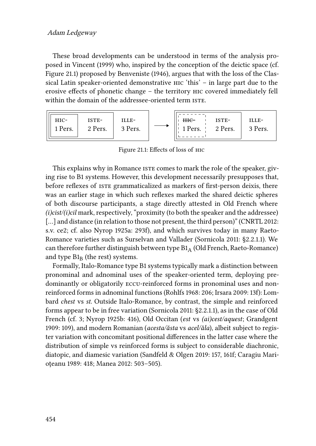#### Adam Ledgeway

These broad developments can be understood in terms of the analysis proposed in [Vincent \(1999\)](#page-39-0) who, inspired by the conception of the deictic space (cf. Figure [21.1\)](#page-3-0) proposed by [Benveniste \(1946\)](#page-31-0), argues that with the loss of the Classical Latin speaker-oriented demonstrative hic 'this' – in large part due to the erosive effects of phonetic change – the territory hic covered immediately fell within the domain of the addressee-oriented term ISTE.

<span id="page-3-0"></span>

Figure 21.1: Effects of loss of hic

This explains why in Romance iste comes to mark the role of the speaker, giving rise to B1 systems. However, this development necessarily presupposes that, before reflexes of iste grammaticalized as markers of first-person deixis, there was an earlier stage in which such reflexes marked the shared deictic spheres of both discourse participants, a stage directly attested in Old French where *(i)cist/(i)cil* mark, respectively, "proximity (to both the speaker and the addressee) [...]and distance (in relation to those not present, the third person)" ([CNRTL 2012](#page-32-0): s.v. ce2; cf. also [Nyrop 1925a:](#page-36-2) 293f), and which survives today in many Raeto-Romance varieties such as Surselvan and Vallader([Sornicola 2011](#page-38-1): §2.2.1.1). We can therefore further distinguish between type  $B1<sub>A</sub>$  (Old French, Raeto-Romance) and type  $B1_B$  (the rest) systems.

<span id="page-3-1"></span>Formally, Italo-Romance type B1 systems typically mark a distinction between pronominal and adnominal uses of the speaker-oriented term, deploying predominantly or obligatorily eccu-reinforced forms in pronominal uses and nonreinforced forms in adnominal functions([Rohlfs 1968:](#page-37-2) 206; [Irsara 2009:](#page-34-2) 13f): Lombard *chest* vs *st*. Outside Italo-Romance, by contrast, the simple and reinforced forms appear to be in free variation [\(Sornicola 2011:](#page-38-1) §2.2.1.1), as in the case of Old French (cf. [3;](#page-3-1) [Nyrop 1925b](#page-36-3): 416), Old Occitan (*est* vs *(ai)cest/aquest*; [Grandgent](#page-33-1) [1909](#page-33-1): 109), and modern Romanian (*acesta/ăsta* vs *acel/ăla*), albeit subject to register variation with concomitant positional differences in the latter case where the distribution of simple vs reinforced forms is subject to considerable diachronic, diatopic, and diamesic variation [\(Sandfeld & Olgen 2019:](#page-38-2) 157, 161f; [Caragiu Mari](#page-32-1)[oţeanu 1989](#page-32-1): 418; [Manea 2012](#page-35-3): 503–505).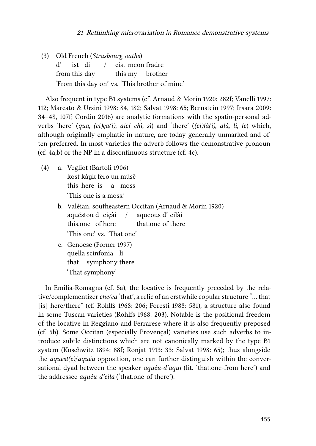(3) Old French (*Strasbourg oaths*) d' from this day ist di / cist meon fradre this my brother 'From this day on' vs. 'This brother of mine'

Also frequent in type B1 systems (cf. [Arnaud & Morin 1920](#page-30-2): 282f; [Vanelli 1997](#page-38-3): 112; [Marcato & Ursini 1998:](#page-36-4) 84, 182; [Salvat 1998:](#page-38-4) 65; [Bernstein 1997;](#page-31-1) [Irsara 2009](#page-34-2): 34–48, 107f; [Cordin 2016](#page-32-2)) are analytic formations with the spatio-personal adverbs 'here' (*qua*, *(ei)ça(i)*, *aicí chì*, *sì*) and 'there' (*(ei)là(i)*, *alà, lì, le*) which, although originally emphatic in nature, are today generally unmarked and often preferred. In most varieties the adverb follows the demonstrative pronoun (cf. [4](#page-4-0)a,b) or the NP in a discontinuous structure (cf. [4c](#page-4-0)).

- <span id="page-4-0"></span>(4) a. Vegliot [\(Bartoli 1906\)](#page-31-2) kost káu̯k fero un músč this here is a moss 'This one is a moss.'
	- b. Valéian, southeastern Occitan [\(Arnaud & Morin 1920](#page-30-2)) aquéstou d eiçài this.one of here / aqueous d' eilài that.one of there 'This one' vs. 'That one'
	- c. Genoese([Forner 1997\)](#page-33-2) quella scinfonìa lì that symphony there 'That symphony'

In Emilia-Romagna (cf. [5a](#page-5-0)), the locative is frequently preceded by the relative/complementizer*che/ca* 'that', a relic of an erstwhile copular structure "… that [is] here/there" (cf. [Rohlfs 1968:](#page-37-2) 206; [Foresti 1988:](#page-33-3) 581), a structure also found in some Tuscan varieties([Rohlfs 1968](#page-37-2): 203). Notable is the positional freedom of the locative in Reggiano and Ferrarese where it is also frequently preposed (cf. [5](#page-5-0)b). Some Occitan (especially Provençal) varieties use such adverbs to introduce subtle distinctions which are not canonically marked by the type B1 system([Koschwitz 1894:](#page-34-3) 88f; [Ronjat 1913](#page-37-3): 33; [Salvat 1998:](#page-38-4) 65); thus alongside the *aquest(e)*/*aquéu* opposition, one can further distinguish within the conversational dyad between the speaker *aquéu-d'aqui* (lit. 'that.one-from here') and the addressee *aquéu-d'eila* ('that.one-of there').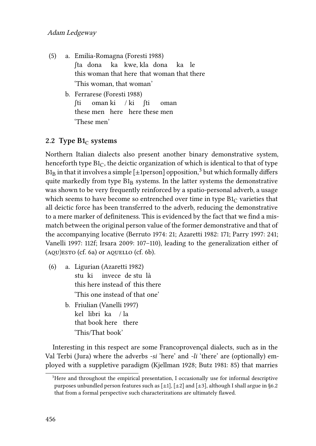- <span id="page-5-0"></span>(5) a. Emilia-Romagna [\(Foresti 1988](#page-33-3)) ʃta dona this woman that here that woman that there ka kwe, kla dona ka le 'This woman, that woman'
	- b. Ferrarese [\(Foresti 1988\)](#page-33-3) ʃti these men here here these men oman ki / ki ʃti oman 'These men'

#### <span id="page-5-2"></span>2.2 Type  $B1_C$  systems

Northern Italian dialects also present another binary demonstrative system, henceforth type  $B1<sub>C</sub>$ , the deictic organization of which is identical to that of type  ${\rm B1_{B}}$  in that it involves a simple [±1person] opposition, $^3$  but which formally differs quite markedly from type  $B1_B$  systems. In the latter systems the demonstrative was shown to be very frequently reinforced by a spatio-personal adverb, a usage which seems to have become so entrenched over time in type  $B1<sub>C</sub>$  varieties that all deictic force has been transferred to the adverb, reducing the demonstrative to a mere marker of definiteness. This is evidenced by the fact that we find a mismatch between the original person value of the former demonstrative and that of the accompanying locative([Berruto 1974](#page-31-3): 21; [Azaretti 1982](#page-30-3): 171; [Parry 1997:](#page-36-5) 241; [Vanelli 1997](#page-38-3): 112f; [Irsara 2009:](#page-34-2) 107–110), leading to the generalization either of  $(AQU)$ ESTO  $(cf. 6a)$  $(cf. 6a)$  $(cf. 6a)$  or  $AQUELLO$   $(cf. 6b)$  $(cf. 6b)$  $(cf. 6b)$ .

- <span id="page-5-1"></span>(6) a. Ligurian([Azaretti 1982\)](#page-30-3) stu ki this here instead of this there invece de stu là 'This one instead of that one'
	- b. Friulian([Vanelli 1997\)](#page-38-3) kel libri ka / la that book here there 'This/That book'

Interesting in this respect are some Francoprovençal dialects, such as in the Val Terbi (Jura) where the adverbs *-si* 'here' and *-li* 'there' are (optionally) employed with a suppletive paradigm [\(Kjellman 1928](#page-34-4); [Butz 1981](#page-31-4): 85) that marries

<sup>&</sup>lt;sup>3</sup>Here and throughout the empirical presentation, I occasionally use for informal descriptive purposes unbundled person features such as  $[\pm 1]$ ,  $[\pm 2]$  and  $[\pm 3]$ , although I shall argue in [§6.2](#page-22-1) that from a formal perspective such characterizations are ultimately flawed.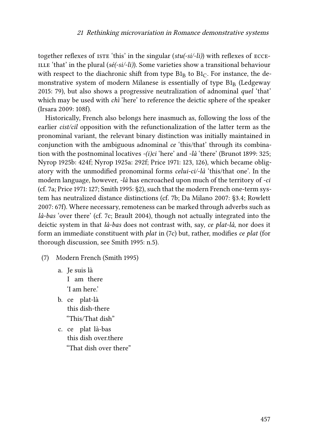together reflexes of ISTE 'this' in the singular (*stu*(-si/-li)) with reflexes of ECCE-ILLE 'that' in the plural  $(s\acute{e}(-si/-li))$ . Some varieties show a transitional behaviour with respect to the diachronic shift from type  $B1_B$  to  $B1_C$ . For instance, the demonstrative system of modern Milanese is essentially of type  $B1<sub>B</sub>$  [\(Ledgeway](#page-35-1) [2015:](#page-35-1) 79), but also shows a progressive neutralization of adnominal *quel* 'that' which may be used with *chì* 'here' to reference the deictic sphere of the speaker [\(Irsara 2009](#page-34-2): 108f).

Historically, French also belongs here inasmuch as, following the loss of the earlier *cist/cil* opposition with the refunctionalization of the latter term as the pronominal variant, the relevant binary distinction was initially maintained in conjunction with the ambiguous adnominal *ce* 'this/that' through its combination with the postnominal locatives *-(i)ci* 'here' and *-là* 'there' [\(Brunot 1899](#page-31-5): 325; [Nyrop 1925b](#page-36-3): 424f; [Nyrop 1925a:](#page-36-2) 292f; [Price 1971](#page-37-4): 123, 126), which became obligatory with the unmodified pronominal forms *celui-ci/-là* 'this/that one'. In the modern language, however, *-là* has encroached upon much of the territory of *-ci* (cf. [7](#page-6-0)a; [Price 1971:](#page-37-4) 127; [Smith 1995:](#page-38-5) §2), such that the modern French one-term system has neutralized distance distinctions (cf. [7](#page-6-0)b; [Da Milano 2007](#page-32-3): §3.4; [Rowlett](#page-37-5) [2007:](#page-37-5) 67f). Where necessary, remoteness can be marked through adverbs such as *là-bas* 'over there' (cf. [7](#page-6-0)c; [Brault 2004](#page-31-6)), though not actually integrated into the deictic system in that *là-bas* does not contrast with, say, *ce plat-là*, nor does it form an immediate constituent with *plat* in([7c](#page-6-0)) but, rather, modifies *ce plat* (for thorough discussion, see [Smith 1995](#page-38-5): n.5).

- <span id="page-6-0"></span>(7) Modern French([Smith 1995](#page-38-5))
	- a. Je suis là I am there 'I am here.'
	- b. ce plat-là this dish-there "This/That dish"
	- c. ce plat là-bas this dish over.there "That dish over there"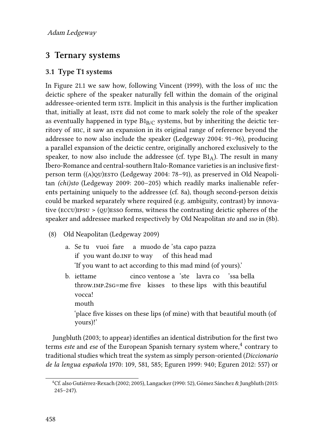## <span id="page-7-1"></span>**3 Ternary systems**

#### **3.1 Type T1 systems**

In Figure [21.1](#page-3-0) we saw how, following [Vincent \(1999\),](#page-39-0) with the loss of hic the deictic sphere of the speaker naturally fell within the domain of the original addressee-oriented term iste. Implicit in this analysis is the further implication that, initially at least, iste did not come to mark solely the role of the speaker as eventually happened in type  $B1_{B/C}$  systems, but by inheriting the deictic territory of hic, it saw an expansion in its original range of reference beyond the addressee to now also include the speaker([Ledgeway 2004:](#page-34-1) 91–96), producing a parallel expansion of the deictic centre, originally anchored exclusively to the speaker, to now also include the addressee (cf. type  $B1_A$ ). The result in many Ibero-Romance and central-southern Italo-Romance varieties is an inclusive firstperson term  $((A)q)$ esto ([Ledgeway 2004:](#page-34-1) 78–91), as preserved in Old Neapolitan *(chi)sto* [\(Ledgeway 2009:](#page-34-5) 200–205) which readily marks inalienable referents pertaining uniquely to the addressee (cf. [8a](#page-7-0)), though second-person deixis could be marked separately where required (e.g. ambiguity, contrast) by innovative ( $\epsilon$ ccu) $\epsilon$  > ( $\epsilon$ u) $\epsilon$ sso forms, witness the contrasting deictic spheres of the speaker and addressee marked respectively by Old Neapolitan *sto* and *sso* in [\(8](#page-7-0)b).

- <span id="page-7-2"></span><span id="page-7-0"></span>(8) Old Neapolitan([Ledgeway 2009\)](#page-34-5)
	- a. Se tu vuoi fare a muodo de 'sta capo pazza if you want do.inf to way of this head mad 'If you want to act according to this mad mind (of yours).'
	- b. iettame throw.imp.2sg=me five kisses to these lips with this beautiful cinco ventose a 'ste lavra co 'ssa bella vocca! mouth

'place five kisses on these lips (of mine) with that beautiful mouth (of yours)!'

[Jungbluth \(2003;](#page-34-6) [to appear\)](#page-34-7) identifies an identical distribution for the first two terms *este* and *ese* of the European Spanish ternary system where,<sup>4</sup> contrary to traditional studies which treat the system as simply person-oriented (*[Diccionario](#page-32-4) [de la lengua española](#page-32-4)* 1970: 109, 581, 585; [Eguren 1999:](#page-33-4) 940; [Eguren 2012:](#page-33-5) 557) or

<sup>4</sup>Cf. also [Gutiérrez-Rexach \(2002;](#page-33-6) [2005](#page-33-7)), [Langacker \(1990:](#page-34-8) 52),[Gómez Sánchez & Jungbluth \(2015:](#page-33-8) 245–247).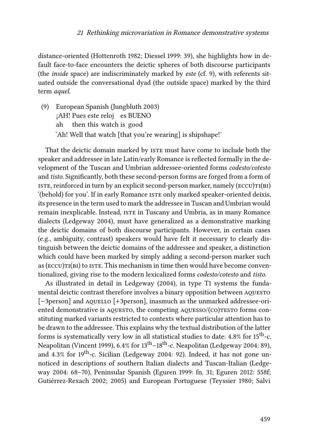distance-oriented [\(Hottenroth 1982;](#page-33-9) [Diessel 1999:](#page-32-5) 39), she highlights how in default face-to-face encounters the deictic spheres of both discourse participants (the *inside* space) are indiscriminately marked by *este* (cf. [9](#page-8-0)), with referents situated outside the conversational dyad (the outside space) marked by the third term *aquel*.

<span id="page-8-0"></span>(9) European Spanish [\(Jungbluth 2003\)](#page-34-6) ¡AH! Pues este reloj es BUENO ah then this watch is good 'Ah! Well that watch [that you're wearing] is shipshape!'

That the deictic domain marked by ISTE must have come to include both the speaker and addressee in late Latin/early Romance is reflected formally in the development of the Tuscan and Umbrian addressee-oriented forms *codesto/cotesto* and *tisto*. Significantly, both these second-person forms are forged from a form of ISTE, reinforced in turn by an explicit second-person marker, namely  $(\text{ECCU})\text{T}(B\text{I})$ '(behold) for you'. If in early Romance iste only marked speaker-oriented deixis, its presence in the term used to mark the addressee in Tuscan and Umbrian would remain inexplicable. Instead, iste in Tuscany and Umbria, as in many Romance dialects([Ledgeway 2004](#page-34-1)), must have generalized as a demonstrative marking the deictic domains of both discourse participants. However, in certain cases (e.g., ambiguity, contrast) speakers would have felt it necessary to clearly distinguish between the deictic domains of the addressee and speaker, a distinction which could have been marked by simply adding a second-person marker such as ( $\epsilon$ CCU) $\text{TI(BI)}$  to ISTE. This mechanism in time then would have become conventionalized, giving rise to the modern lexicalized forms *codesto/cotesto* and *tisto*.

As illustrated in detail in [Ledgeway \(2004\),](#page-34-1) in type T1 systems the fundamental deictic contrast therefore involves a binary opposition between aquesto [-3person] and AQUELLO [+3person], inasmuch as the unmarked addressee-oriented demonstrative is  $AQUESTO$ , the competing  $AQUESSO/(CO)TESTO$  forms constituting marked variants restricted to contexts where particular attention has to be drawn to the addressee. This explains why the textual distribution of the latter forms is systematically very low in all statistical studies to date: 4.8% for 15<sup>th</sup>-c. Neapolitan([Vincent 1999\)](#page-39-0), 6.4% for 13th–18th-c. Neapolitan([Ledgeway 2004:](#page-34-1) 89), and4.3% for  $19^{th}$ -c. Sicilian ([Ledgeway 2004](#page-34-1): 92). Indeed, it has not gone unnoticed in descriptions of southern Italian dialects and Tuscan-Italian [\(Ledge](#page-34-1)[way 2004:](#page-34-1) 68–70), Peninsular Spanish [\(Eguren 1999:](#page-33-4) fn. 31; [Eguren 2012:](#page-33-5) 558f; [Gutiérrez-Rexach 2002;](#page-33-6) [2005\)](#page-33-7) and European Portuguese [\(Teyssier 1980;](#page-38-6) [Salvi](#page-38-7)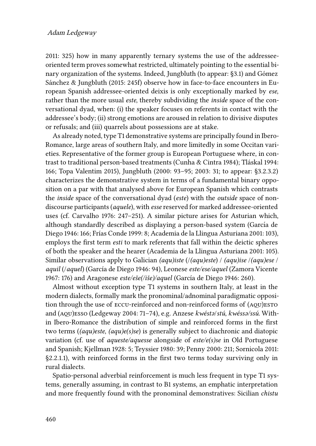[2011:](#page-38-7) 325) how in many apparently ternary systems the use of the addresseeoriented term proves somewhat restricted, ultimately pointing to the essential binary organization of the systems. Indeed, [Jungbluth \(to appear](#page-34-7): §3.1) and [Gómez](#page-33-8) [Sánchez & Jungbluth \(2015:](#page-33-8) 245f) observe how in face-to-face encounters in European Spanish addressee-oriented deixis is only exceptionally marked by *ese*, rather than the more usual *este*, thereby subdividing the *inside* space of the conversational dyad, when: (i) the speaker focuses on referents in contact with the addressee's body; (ii) strong emotions are aroused in relation to divisive disputes or refusals; and (iii) quarrels about possessions are at stake.

As already noted, type T1 demonstrative systems are principally found in Ibero-Romance, large areas of southern Italy, and more limitedly in some Occitan varieties. Representative of the former group is European Portuguese where, in contrast to traditional person-based treatments([Cunha & Cintra 1984](#page-32-6)); [Tláskal 1994](#page-38-8): 166; [Topa Valentim 2015](#page-38-9)), [Jungbluth \(2000](#page-34-9): 93–95; [2003:](#page-34-6) 31; [to appear](#page-34-7): §3.2.3.2) characterizes the demonstrative system in terms of a fundamental binary opposition on a par with that analysed above for European Spanish which contrasts the *inside* space of the conversational dyad (*este*) with the *outside* space of nondiscourse participants (*aquele*), with *esse* reserved for marked addressee-oriented uses (cf. [Carvalho 1976:](#page-32-7) 247–251). A similar picture arises for Asturian which, althoughstandardly described as displaying a person-based system (García de [Diego 1946:](#page-33-10) 166; [Frıas Conde 1999](#page-33-11) ́ : 8; [Academia de la Llingua Asturiana 2001](#page-30-1): 103), employs the first term *esti* to mark referents that fall within the deictic spheres of both the speaker and the hearer([Academia de la Llingua Asturiana 2001](#page-30-1): 105). Similar observations apply to Galician *(aqu)iste* (/*(aqu)este*) / *(aqu)ise* /*(aqu)ese* / *aquil* (/*aquel*) [\(Garcıa de Diego 1946](#page-33-10) ́ : 94), Leonese *este/ese/aquel* ([Zamora Vicente](#page-39-1) [1967](#page-39-1): 176) and Aragonese este/eše(/iše)/aquel (García de Diego 1946: 260).

Almost without exception type T1 systems in southern Italy, at least in the modern dialects, formally mark the pronominal/adnominal paradigmatic opposition through the use of ECCU-reinforced and non-reinforced forms of (AQU)ESTO and (aqu)esso [\(Ledgeway 2004](#page-34-1): 71–74), e.g. Anzese *kwéstə*/*stú*, *kwéssə/ssú*. Within Ibero-Romance the distribution of simple and reinforced forms in the first two terms (*(aqu)este*, *(aqu)e(s)se*) is generally subject to diachronic and diatopic variation (cf. use of *aqueste/aquesse* alongside of *este/e(s)se* in Old Portuguese and Spanish; [Kjellman 1928](#page-34-4): 5; [Teyssier 1980](#page-38-6): 39; [Penny 2000:](#page-36-6) 211; [Sornicola 2011](#page-38-1): §2.2.1.1), with reinforced forms in the first two terms today surviving only in rural dialects.

Spatio-personal adverbial reinforcement is much less frequent in type T1 systems, generally assuming, in contrast to B1 systems, an emphatic interpretation and more frequently found with the pronominal demonstratives: Sicilian *chistu*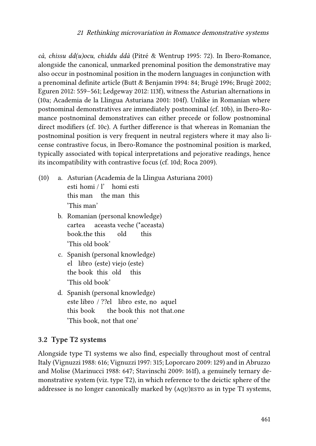*cà*, *chissu dd(u)ocu*, *chiddu ddà* [\(Pitré & Wentrup 1995](#page-36-7): 72). In Ibero-Romance, alongside the canonical, unmarked prenominal position the demonstrative may also occur in postnominal position in the modern languages in conjunction with a prenominal definite article [\(Butt & Benjamin 1994](#page-31-7): 84; [Brugè 1996](#page-31-8); [Brugè 2002;](#page-31-9) [Eguren 2012](#page-33-5): 559–561; [Ledgeway 2012:](#page-35-4) 113f), witness the Asturian alternations in [\(10](#page-10-0)a; [Academia de la Llingua Asturiana 2001:](#page-30-1) 104f). Unlike in Romanian where postnominal demonstratives are immediately postnominal (cf. [10](#page-10-0)b), in Ibero-Romance postnominal demonstratives can either precede or follow postnominal direct modifiers (cf. [10](#page-10-0)c). A further difference is that whereas in Romanian the postnominal position is very frequent in neutral registers where it may also license contrastive focus, in Ibero-Romance the postnominal position is marked, typically associated with topical interpretations and pejorative readings, hence its incompatibility with contrastive focus (cf. [10](#page-10-0)d; [Roca 2009\)](#page-37-6).

- <span id="page-10-0"></span>(10) a. Asturian([Academia de la Llingua Asturiana 2001\)](#page-30-1) esti homi / l' homi esti this man the man this 'This man'
	- b. Romanian (personal knowledge) cartea book.the this aceasta veche (\*aceasta) old this 'This old book'
	- c. Spanish (personal knowledge) el libro (este) viejo (este) the book this old this 'This old book'
	- d. Spanish (personal knowledge) este libro / ??el libro este, no aquel this book the book this not that.one 'This book, not that one'

### **3.2 Type T2 systems**

Alongside type T1 systems we also find, especially throughout most of central Italy([Vignuzzi 1988:](#page-39-2) 616; [Vignuzzi 1997:](#page-39-3) 315; [Loporcaro 2009:](#page-35-5) 129) and in Abruzzo and Molise([Marinucci 1988](#page-36-8): 647; [Stavinschi 2009:](#page-38-0) 161f), a genuinely ternary demonstrative system (viz. type T2), in which reference to the deictic sphere of the addressee is no longer canonically marked by (aqu)esto as in type T1 systems,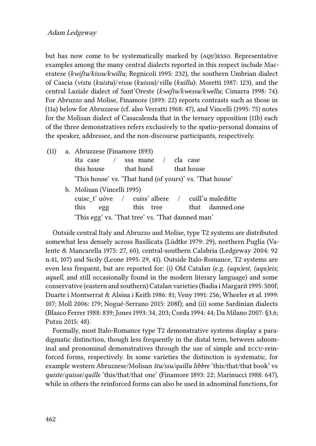but has now come to be systematically marked by (aqu)esso. Representative examples among the many central dialects reported in this respect include Maceratese (*kwiʃtu/kissu/kwillu*; [Regnicoli 1995](#page-37-7): 232), the southern Umbrian dialect of Cascia (*vistu* (*kuistu*)/*vissu* (*kuissu*)/*villu* (*kuillu*); [Moretti 1987](#page-36-9): 123), and the central Laziale dialect of Sant'Oreste (*kweʃtu/kwessu/kwellu*; [Cimarra 1998:](#page-32-8) 74). For Abruzzo and Molise, [Finamore \(1893:](#page-33-12) 22) reports contrasts such as those in [\(11](#page-11-0)a) below for Abruzzese (cf. also [Verratti 1968](#page-39-4): 47), and [Vincelli \(1995](#page-39-5): 75) notes for the Molisan dialect of Casacalenda that in the ternary opposition([11b](#page-11-0)) each of the three demonstratives refers exclusively to the spatio-personal domains of the speaker, addressee, and the non-discourse participants, respectively.

<span id="page-11-0"></span>(11) a. Abruzzese [\(Finamore 1893](#page-33-12)) šta case this house / ssa mane that hand / cla case that house 'This house' vs. 'That hand (of yours)' vs. 'That house' b. Molisan([Vincelli 1995\)](#page-39-5) cuisc\_t' uóve this egg / cuiss' albere this tree / cuill'u maleditte that damned.one 'This egg' vs. 'That tree' vs. 'That damned man'

Outside central Italy and Abruzzo and Molise, type T2 systems are distributed somewhat less densely across Basilicata([Lüdtke 1979](#page-35-6): 29), northern Puglia [\(Va](#page-38-10)[lente & Mancarella 1975:](#page-38-10) 27, 60), central-southern Calabria [\(Ledgeway 2004:](#page-34-1) 92 n.41, 107) and Sicily [\(Leone 1995](#page-35-7): 29, 41). Outside Italo-Romance, T2 systems are even less frequent, but are reported for: (i) Old Catalan (e.g. *(aqu)est, (aqu)eix*, *aquell*, and still occasionally found in the modern literary language) and some conservative (eastern and southern) Catalan varieties([Badia i Margarit 1995:](#page-30-4) 500f; [Duarte i Montserrat & Alsina i Keith 1986](#page-32-9): 81; [Veny 1991](#page-39-6): 256; [Wheeler et al. 1999](#page-39-7): 107; [Moll 2006:](#page-36-10) 179; [Nogué-Serrano 2015](#page-36-11): 208f); and (ii) some Sardinian dialects [\(Blasco Ferrer 1988:](#page-31-10) 839; [Jones 1993](#page-34-10): 34, 203; [Corda 1994:](#page-32-10) 44; [Da Milano 2007:](#page-32-3) §3.6; [Putzu 2015](#page-37-8): 48).

Formally, most Italo-Romance type T2 demonstrative systems display a paradigmatic distinction, though less frequently in the distal term, between adnominal and pronominal demonstratives through the use of simple and eccu-reinforced forms, respectively. In some varieties the distinction is systematic, for example western Abruzzese/Molisan *štu/ssu/quillu libbre* 'this/that/that book' vs *quiste*/*quisse*/*quille* 'this/that/that one'([Finamore 1893](#page-33-12): 22; [Marinucci 1988:](#page-36-8) 647), while in others the reinforced forms can also be used in adnominal functions, for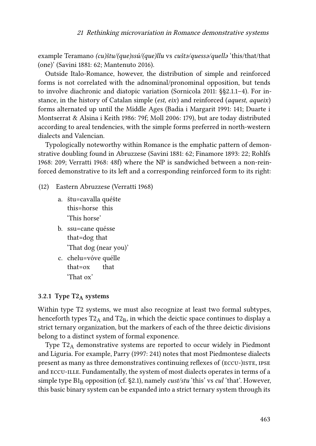example Teramano *(cu)štu/(que)ssú/(que)llu* vs *cuštə/quessə/quellə* 'this/that/that (one)' [\(Savini 1881:](#page-38-11) 62; [Mantenuto 2016](#page-35-8)).

Outside Italo-Romance, however, the distribution of simple and reinforced forms is not correlated with the adnominal/pronominal opposition, but tends to involve diachronic and diatopic variation [\(Sornicola 2011](#page-38-1): §§2.1.1–4). For instance, in the history of Catalan simple (*est, eix*) and reinforced (*aquest, aqueix*) forms alternated up until the Middle Ages [\(Badia i Margarit 1991](#page-30-5): 141; [Duarte i](#page-32-9) [Montserrat & Alsina i Keith 1986:](#page-32-9) 79f; [Moll 2006:](#page-36-10) 179), but are today distributed according to areal tendencies, with the simple forms preferred in north-western dialects and Valencian.

Typologically noteworthy within Romance is the emphatic pattern of demonstrative doubling found in Abruzzese [\(Savini 1881:](#page-38-11) 62; [Finamore 1893:](#page-33-12) 22; [Rohlfs](#page-37-2) [1968](#page-37-2): 209; [Verratti 1968](#page-39-4): 48f) where the NP is sandwiched between a non-reinforced demonstrative to its left and a corresponding reinforced form to its right:

- (12) Eastern Abruzzese([Verratti 1968](#page-39-4))
	- a. štu=cavalla quéšte this=horse this 'This horse'
	- b. ssu=cane quésse that=dog that 'That dog (near you)'
	- c. chelu=vóve quélle that=ox that 'That ox'

#### <span id="page-12-0"></span>**3.2.1 Type T2<sup>A</sup> systems**

Within type T2 systems, we must also recognize at least two formal subtypes, henceforth types  $T2_A$  and  $T2_B$ , in which the deictic space continues to display a strict ternary organization, but the markers of each of the three deictic divisions belong to a distinct system of formal exponence.

Type  $T2_A$  demonstrative systems are reported to occur widely in Piedmont and Liguria. For example, [Parry \(1997:](#page-36-5) 241) notes that most Piedmontese dialects present as many as three demonstratives continuing reflexes of (ECCU-)ISTE, IPSE and eccu-ille. Fundamentally, the system of most dialects operates in terms of a simpletype  $B1_B$  opposition (cf. §[2.1](#page-1-2)), namely *cust/stu* 'this' vs *cul* 'that'. However, this basic binary system can be expanded into a strict ternary system through its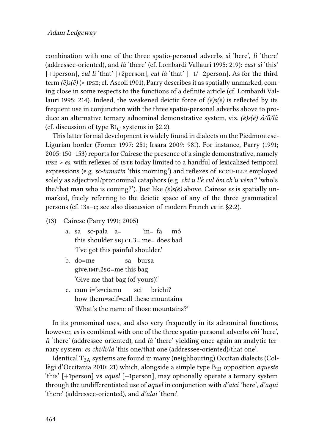combination with one of the three spatio-personal adverbs *sì* 'here', *lì* 'there' (addressee-oriented), and *là* 'there' (cf. [Lombardi Vallauri 1995](#page-35-9): 219): *cust sì* 'this' [+1person], *cul lì* 'that' [+2person], *cul là* 'that' [−1/−2person]. As for the third term  $(\ddot{e})\s(\dot{e})$  (< IPSE; cf. [Ascoli 1901\)](#page-30-6), Parry describes it as spatially unmarked, coming close in some respects to the functions of a definite article (cf. [Lombardi Val](#page-35-9)[lauri 1995:](#page-35-9) 214). Indeed, the weakened deictic force of *(ë)s(ë)* is reflected by its frequent use in conjunction with the three spatio-personal adverbs above to produce an alternative ternary adnominal demonstrative system, viz. *(ë)s(ë) sì/lì/là* (cf. discussion of type  $B1<sub>C</sub>$  systems in [§2.2](#page-5-2)).

This latter formal development is widely found in dialects on the Piedmontese-Ligurian border [\(Forner 1997:](#page-33-2) 251; [Irsara 2009](#page-34-2): 98f). For instance, [Parry \(1991;](#page-36-12) [2005](#page-36-13): 150–153) reports for Cairese the presence of a single demonstrative, namely ipse > *es*, with reflexes of iste today limited to a handful of lexicalized temporal expressions (e.g. *sc-tamatin* 'this morning') and reflexes of ECCU-ILLE employed solely as adjectival/pronominal cataphors (e.g. *chi u l'è cul óm ch'u vénn?* 'who's the/that man who is coming?'). Just like *(ë)s(ë)* above, Cairese *es* is spatially unmarked, freely referring to the deictic space of any of the three grammatical persons (cf. [13](#page-13-0)a–c; see also discussion of modern French *ce* in [§2.2](#page-5-2)).

- <span id="page-13-0"></span>(13) Cairese([Parry 1991;](#page-36-12) [2005\)](#page-36-13)
	- a. sa sc-pala a= this shoulder sbj.cl.3= me= does bad 'm= fa mò 'I've got this painful shoulder.'
	- b. do=me give.imp.2sg=me this bag sa bursa 'Give me that bag (of yours)!'
	- c. cum i='s=ciamu how them=self=call these mountains sci brichi? 'What's the name of those mountains?'

In its pronominal uses, and also very frequently in its adnominal functions, however, *es* is combined with one of the three spatio-personal adverbs *chì* 'here', *lì* 'there' (addressee-oriented), and *là* 'there' yielding once again an analytic ternary system: *es chì/lì/là* 'this one/that one (addressee-oriented)/that one'.

Identical $T_{2A}$  systems are found in many (neighbouring) Occitan dialects ([Col](#page-32-11)[lègi d'Occitania 2010:](#page-32-11) 21) which, alongside a simple type B<sub>1B</sub> opposition *aqueste* 'this' [+1person] vs *aquel* [−1person], may optionally operate a ternary system through the undifferentiated use of *aquel* in conjunction with *d'aicí* 'here', *d'aquí* 'there' (addressee-oriented), and *d'alai* 'there'.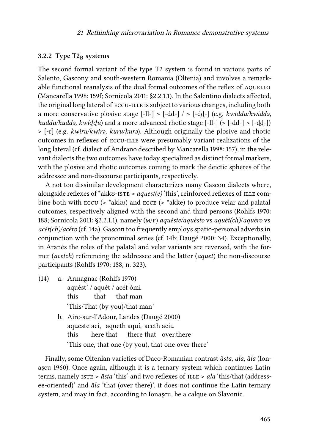#### <span id="page-14-1"></span>**3.2.2 Type T2<sup>B</sup> systems**

The second formal variant of the type T2 system is found in various parts of Salento, Gascony and south-western Romania (Oltenia) and involves a remarkable functional reanalysis of the dual formal outcomes of the reflex of AQUELLO [\(Mancarella 1998](#page-35-10): 159f; [Sornicola 2011:](#page-38-1) §2.2.1.1). In the Salentino dialects affected, the original long lateral of eccu-ille is subject to various changes, including both a more conservative plosive stage  $[-11] > [-dd-] / > [-dd-] (e.g., *kwiddu/kwidda*),$ *kuddu/kuddə, kwíɖɖu*) and a more advanced rhotic stage [-ll-] (> [-dd-] > [-ɖɖ-]) > [-r] (e.g. *kwiru/kwirə, kuru/kurə*). Although originally the plosive and rhotic outcomes in reflexes of eccu-ille were presumably variant realizations of the long lateral (cf. dialect of Andrano described by [Mancarella 1998:](#page-35-10) 157), in the relevant dialects the two outcomes have today specialized as distinct formal markers, with the plosive and rhotic outcomes coming to mark the deictic spheres of the addressee and non-discourse participants, respectively.

A not too dissimilar development characterizes many Gascon dialects where, alongside reflexes of \*akkʊ-ISTE > *aquest(e)* 'this', reinforced reflexes of ILLE combine both with eccu (> \*akkʊ) and ecce (> \*akke) to produce velar and palatal outcomes, respectively aligned with the second and third persons([Rohlfs 1970](#page-37-9): 188; [Sornicola 2011:](#page-38-1) §2.2.1.1), namely (m/f) *aquéste/aquésto* vs *aquét(ch)*/*aquéro* vs *acét(ch)/acéro* (cf. [14a](#page-14-0)). Gascon too frequently employs spatio-personal adverbs in conjunction with the pronominal series (cf. [14](#page-14-0)b; [Daugé 2000:](#page-32-12) 34). Exceptionally, in Aranés the roles of the palatal and velar variants are reversed, with the former (*acetch*) referencing the addressee and the latter (*aquet*) the non-discourse participants [\(Rohlfs 1970:](#page-37-9) 188, n. 323).

- <span id="page-14-0"></span>(14) a. Armagnac([Rohlfs 1970\)](#page-37-9) aquést' / aquét / acét òmi this that that man 'This/That (by you)/that man'
	- b. Aire-sur-l'Adour, Landes([Daugé 2000\)](#page-32-12) aqueste ací, aqueth aquí, aceth aciu this here that there that over.there 'This one, that one (by you), that one over there'

Finally, some Oltenian varieties of Daco-Romanian contrast *ăsta*, *ala*, *ăla* ([Ion](#page-34-11)[aşcu 1960](#page-34-11)). Once again, although it is a ternary system which continues Latin terms, namely ISTE >  $\check{a}$ sta 'this' and two reflexes of ILLE > *ala* 'this/that (addressee-oriented)' and *ăla* 'that (over there)', it does not continue the Latin ternary system, and may in fact, according to Ionaşcu, be a calque on Slavonic.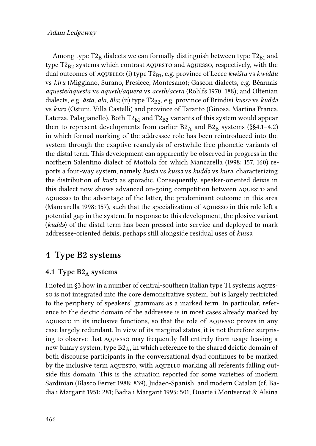#### Adam Ledgeway

Among type  $T2_B$  dialects we can formally distinguish between type  $T2_{B1}$  and type  $T2_{B2}$  systems which contrast AQUESTO and AQUESSO, respectively, with the dual outcomes of AQUELLO: (i) type T2<sub>B1</sub>, e.g. province of Lecce *kwíštu* vs *kwíddu* vs *kiru* (Miggiano, Surano, Presicce, Montesano); Gascon dialects, e.g. Béarnais *aqueste/aquesta* vs *aqueth/aquera* vs *aceth/acera* [\(Rohlfs 1970](#page-37-9): 188); and Oltenian dialects, e.g. *ăsta, ala, ăla*; (ii) type T2<sub>B2</sub>, e.g. province of Brindisi *kussa* vs *kudda* vs *kurə* (Ostuni, Villa Castelli) and province of Taranto (Ginosa, Martina Franca, Laterza, Palagianello). Both  $T2_{B1}$  and  $T2_{B2}$  variants of this system would appear then to represent developments from earlier  $B2_A$  and  $B2_B$  systems (§§[4.1](#page-15-0)[–4.2](#page-18-0)) in which formal marking of the addressee role has been reintroduced into the system through the exaptive reanalysis of erstwhile free phonetic variants of the distal term. This development can apparently be observed in progress in the northern Salentino dialect of Mottola for which [Mancarella \(1998](#page-35-10): 157, 160) reports a four-way system, namely *kustə* vs *kussə* vs *kuddə* vs *kurə*, characterizing the distribution of *kustə* as sporadic. Consequently, speaker-oriented deixis in this dialect now shows advanced on-going competition between aquesto and aquesso to the advantage of the latter, the predominant outcome in this area [\(Mancarella 1998:](#page-35-10) 157), such that the specialization of aquesso in this role left a potential gap in the system. In response to this development, the plosive variant (*kuddə*) of the distal term has been pressed into service and deployed to mark addressee-oriented deixis, perhaps still alongside residual uses of *kussə*.

## **4 Type B2 systems**

#### <span id="page-15-0"></span>**4.1 Type B2<sup>A</sup> systems**

I noted in [§3](#page-7-1) how in a number of central-southern Italian type T1 systems aquesso is not integrated into the core demonstrative system, but is largely restricted to the periphery of speakers' grammars as a marked term. In particular, reference to the deictic domain of the addressee is in most cases already marked by aquesto in its inclusive functions, so that the role of aquesso proves in any case largely redundant. In view of its marginal status, it is not therefore surprising to observe that aquesso may frequently fall entirely from usage leaving a new binary system, type  $B2_A$ , in which reference to the shared deictic domain of both discourse participants in the conversational dyad continues to be marked by the inclusive term AQUESTO, with AQUELLO marking all referents falling outside this domain. This is the situation reported for some varieties of modern Sardinian([Blasco Ferrer 1988](#page-31-10): 839), Judaeo-Spanish, and modern Catalan (cf. [Ba](#page-30-7)[dia i Margarit 1951:](#page-30-7) 281; [Badia i Margarit 1995](#page-30-4): 501; [Duarte i Montserrat & Alsina](#page-32-9)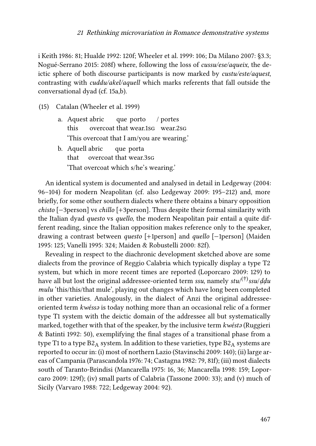[i Keith 1986](#page-32-9): 81; [Hualde 1992](#page-33-13): 120f; [Wheeler et al. 1999:](#page-39-7) 106; [Da Milano 2007:](#page-32-3) §3.3; [Nogué-Serrano 2015](#page-36-11): 208f) where, following the loss of *cussu/ese/aqueix*, the deictic sphere of both discourse participants is now marked by *custu/este/aquest*, contrasting with *cuddu/akel/aquell* which marks referents that fall outside the conversational dyad (cf. [15a](#page-16-0),b).

- <span id="page-16-0"></span>(15) Catalan([Wheeler et al. 1999\)](#page-39-7)
	- a. Aquest abric this overcoat that wear.1sg wear.2sg que porto / portes 'This overcoat that I am/you are wearing.'
	- b. Aquell abric that overcoat that wear.3sg que porta 'That overcoat which s/he's wearing.'

An identical system is documented and analysed in detail in [Ledgeway \(2004](#page-34-1): 96–104) for modern Neapolitan (cf. also [Ledgeway 2009](#page-34-5): 195–212) and, more briefly, for some other southern dialects where there obtains a binary opposition *chisto* [−3person] vs *chillo* [+3person]. Thus despite their formal similarity with the Italian dyad *questo* vs *quello*, the modern Neapolitan pair entail a quite different reading, since the Italian opposition makes reference only to the speaker, drawing a contrast between *questo* [+1person] and *quello* [−1person] [\(Maiden](#page-35-11) [1995](#page-35-11): 125; [Vanelli 1995:](#page-38-12) 324; [Maiden & Robustelli 2000](#page-35-12): 82f).

Revealing in respect to the diachronic development sketched above are some dialects from the province of Reggio Calabria which typically display a type T2 system, but which in more recent times are reported([Loporcaro 2009](#page-35-5): 129) to have all but lost the original addressee-oriented term *ssu*, namely *stu*/ (†)*ssu*/*ḍḍu mulu* 'this/this/that mule', playing out changes which have long been completed in other varieties. Analogously, in the dialect of Anzi the original addresseeoriented term *kwéssə* is today nothing more than an occasional relic of a former type T1 system with the deictic domain of the addressee all but systematically marked, together with that of the speaker, by the inclusive term *kwéstə* [\(Ruggieri](#page-37-10) [& Batinti 1992:](#page-37-10) 50), exemplifying the final stages of a transitional phase from a type T1 to a type  $B2_A$  system. In addition to these varieties, type  $B2_A$  systems are reported to occur in: (i) most of northern Lazio([Stavinschi 2009:](#page-38-0) 140); (ii) large areas of Campania([Parascandola 1976](#page-36-14): 74; [Castagna 1982](#page-32-13): 79, 81f); (iii) most dialects south of Taranto-Brindisi [\(Mancarella 1975:](#page-35-13) 16, 36; [Mancarella 1998](#page-35-10): 159; [Lopor](#page-35-5)[caro 2009](#page-35-5): 129f); (iv) small parts of Calabria([Tassone 2000:](#page-38-13) 33); and (v) much of Sicily [\(Varvaro 1988](#page-39-8): 722; [Ledgeway 2004](#page-34-1): 92).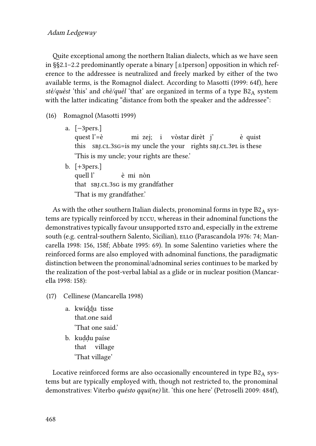Quite exceptional among the northern Italian dialects, which as we have seen in §[§2.1–](#page-1-2)[2.2](#page-5-2) predominantly operate a binary [±1person] opposition in which reference to the addressee is neutralized and freely marked by either of the two available terms, is the Romagnol dialect. According to [Masotti \(1999](#page-36-15): 64f), here *stè/quèst* 'this' and *chè/quèl* 'that' are organized in terms of a type B2<sub>A</sub> system with the latter indicating "distance from both the speaker and the addressee":

- (16) Romagnol [\(Masotti 1999](#page-36-15))
	- a. [−3pers.] quest l'=è this sBJ.cL.3sG=is my uncle the your rights sBJ.cL.3PL is these mi zej; i vòstar dirèt j' è quist 'This is my uncle; your rights are these.'
	- b. [+3pers.] quell l' that sbj.cl.3sg is my grandfather è mi nòn 'That is my grandfather.'

As with the other southern Italian dialects, pronominal forms in type  $B2_A$  systems are typically reinforced by eccu, whereas in their adnominal functions the demonstratives typically favour unsupported ESTO and, especially in the extreme south (e.g. central-southern Salento, Sicilian), ELLO ([Parascandola 1976](#page-36-14): 74; [Man](#page-35-10)[carella 1998:](#page-35-10) 156, 158f; [Abbate 1995:](#page-30-8) 69). In some Salentino varieties where the reinforced forms are also employed with adnominal functions, the paradigmatic distinction between the pronominal/adnominal series continues to be marked by the realization of the post-verbal labial as a glide or in nuclear position [\(Mancar](#page-35-10)[ella 1998](#page-35-10): 158):

- (17) Cellinese [\(Mancarella 1998\)](#page-35-10)
	- a. kwíɖɖu tisse that.one said 'That one said.'
	- b. kuḍḍu paíse that village 'That village'

Locative reinforced forms are also occasionally encountered in type  $B2_A$  systems but are typically employed with, though not restricted to, the pronominal demonstratives: Viterbo *quésto qqui(ne)* lit. 'this one here'([Petroselli 2009](#page-36-16): 484f),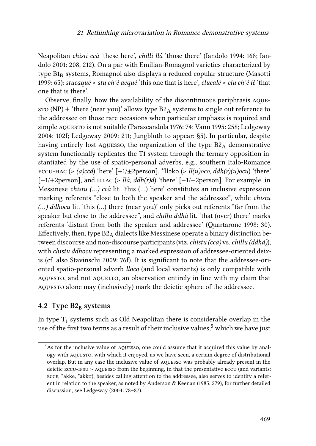Neapolitan *chisti ccà* 'these here', *chilli llà* 'those there'([Iandolo 1994](#page-33-14): 168; [Ian](#page-33-15)[dolo 2001](#page-33-15): 208, 212). On a par with Emilian-Romagnol varieties characterized by type $BI_B$  systems, Romagnol also displays a reduced copular structure ([Masotti](#page-36-15) [1999:](#page-36-15) 65): *stucaquè* < *stu ch'è acquè* 'this one that is here', *clucalè* < *clu ch'è lè* 'that one that is there'.

Observe, finally, how the availability of the discontinuous periphrasis aque $s\tau$ o (NP) + 'there (near you)' allows type B2<sub>A</sub> systems to single out reference to the addressee on those rare occasions when particular emphasis is required and simple aquesto is not suitable [\(Parascandola 1976:](#page-36-14) 74; [Vann 1995:](#page-38-14) 258; [Ledgeway](#page-34-1) [2004](#page-34-1): 102f; [Ledgeway 2009](#page-34-5): 211; [Jungbluth to appear](#page-34-7): §5). In particular, despite having entirely lost aquesso, the organization of the type  $B2_A$  demonstrative system functionally replicates the T1 system through the ternary opposition instantiated by the use of spatio-personal adverbs, e.g., southern Italo-Romance ECCU-HAC (> *(a)ccà*) 'here' [+1/ $\pm$ 2person], \*'llɔko (> *ll(u)oco, ddh(r)(u)ocu*) 'there' [−1/+2person], and illac (> *llà*, *ddh(r)à*) 'there' [−1/−2person]. For example, in Messinese *chistu (…) ccà* lit. 'this (…) here' constitutes an inclusive expression marking referents "close to both the speaker and the addressee", while *chistu (…) ddhocu* lit. 'this (…) there (near you)' only picks out referents "far from the speaker but close to the addressee", and *chillu ddhà* lit. 'that (over) there' marks referents 'distant from both the speaker and addressee' [\(Quartarone 1998:](#page-37-11) 30). Effectively, then, type  $B2_A$  dialects like Messinese operate a binary distinction between discourse and non-discourse participants (viz.*chistu (ccà)* vs.*chillu (ddhà)*), with *chistu ddhocu* representing a marked expression of addressee-oriented deixis (cf. also [Stavinschi 2009](#page-38-0): 76f). It is significant to note that the addressee-oriented spatio-personal adverb *lloco* (and local variants) is only compatible with AQUESTO, and not AQUELLO, an observation entirely in line with my claim that aquesto alone may (inclusively) mark the deictic sphere of the addressee.

#### <span id="page-18-0"></span>**4.2 Type B2<sup>B</sup> systems**

In type  $\mathrm{T}_1$  systems such as Old Neapolitan there is considerable overlap in the use of the first two terms as a result of their inclusive values,<sup>5</sup> which we have just

<sup>5</sup>As for the inclusive value of aquesso, one could assume that it acquired this value by analogy with aquesto, with which it enjoyed, as we have seen, a certain degree of distributional overlap. But in any case the inclusive value of aquesso was probably already present in the deictic eccu-ipsu > aquesso from the beginning, in that the presentative eccu (and variants: ecce, \*akke, \*akkʊ), besides calling attention to the addressee, also serves to identify a referent in relation to the speaker, as noted by [Anderson & Keenan \(1985](#page-30-9): 279); for further detailed discussion, see [Ledgeway \(2004:](#page-34-1) 78–87).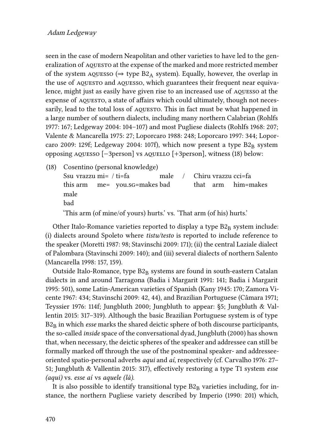seen in the case of modern Neapolitan and other varieties to have led to the generalization of AQUESTO at the expense of the marked and more restricted member of the system  $AQUESSO$  ( $\Rightarrow$  type  $B2_A$  system). Equally, however, the overlap in the use of AQUESTO and AQUESSO, which guarantees their frequent near equivalence, might just as easily have given rise to an increased use of aquesso at the expense of aquesto, a state of affairs which could ultimately, though not necessarily, lead to the total loss of AQUESTO. This in fact must be what happened in a large number of southern dialects, including many northern Calabrian [\(Rohlfs](#page-37-12) [1977](#page-37-12): 167; [Ledgeway 2004:](#page-34-1) 104–107) and most Pugliese dialects([Rohlfs 1968](#page-37-2): 207; [Valente & Mancarella 1975](#page-38-10): 27; [Loporcaro 1988](#page-35-14): 248; [Loporcaro 1997](#page-35-15): 344; [Lopor](#page-35-5)[caro 2009](#page-35-5): 129f; [Ledgeway 2004](#page-34-1): 107f), which now present a type  $B2<sub>B</sub>$  system opposing aquesso [−3person] vs aquello [+3person], witness [\(18](#page-19-0)) below:

<span id="page-19-0"></span>(18) Cosentino (personal knowledge) Ssu vrazzu mi= / ti=fa this arm me= you.sg=makes bad male / Chiru vrazzu cci=fa that arm him=makes male bad

'This arm (of mine/of yours) hurts.' vs. 'That arm (of his) hurts.'

Other Italo-Romance varieties reported to display a type  $B2_B$  system include: (i) dialects around Spoleto where *tistu/testo* is reported to include reference to the speaker [\(Moretti 1987:](#page-36-9) 98; [Stavinschi 2009](#page-38-0): 171); (ii) the central Laziale dialect of Palombara([Stavinschi 2009](#page-38-0): 140); and (iii) several dialects of northern Salento [\(Mancarella 1998:](#page-35-10) 157, 159).

Outside Italo-Romance, type  $B2_B$  systems are found in south-eastern Catalan dialects in and around Tarragona([Badia i Margarit 1991:](#page-30-5) 141; [Badia i Margarit](#page-30-4) [1995:](#page-30-4) 501), some Latin-American varieties of Spanish [\(Kany 1945](#page-34-12): 170; [Zamora Vi](#page-39-1)[cente 1967:](#page-39-1) 434; [Stavinschi 2009](#page-38-0): 42, 44), and Brazilian Portuguese([Câmara 1971;](#page-31-11) [Teyssier 1976:](#page-38-15) 114f; [Jungbluth 2000](#page-34-9); [Jungbluth to appear:](#page-34-7) §5; [Jungbluth & Val](#page-34-13)[lentin 2015:](#page-34-13) 317–319). Although the basic Brazilian Portuguese system is of type B2<sup>B</sup> in which *esse* marks the shared deictic sphere of both discourse participants, the so-called *inside* space of the conversational dyad, [Jungbluth \(2000\)](#page-34-9) has shown that, when necessary, the deictic spheres of the speaker and addressee can still be formally marked off through the use of the postnominal speaker- and addresseeoriented spatio-personal adverbs *aqui* and *aí*, respectively (cf. [Carvalho 1976:](#page-32-7) 27– 51; [Jungbluth & Vallentin 2015:](#page-34-13) 317), effectively restoring a type T1 system *esse (aqui)* vs. *esse aí* vs *aquele (lá)*.

It is also possible to identify transitional type  $B2_B$  varieties including, for instance, the northern Pugliese variety described by [Imperio \(1990](#page-34-14): 201) which,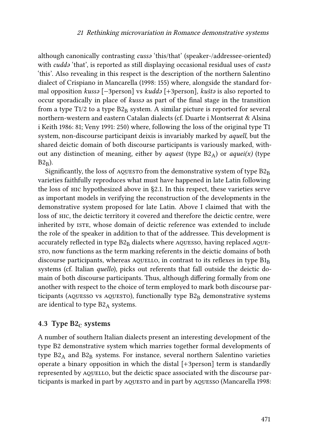although canonically contrasting *cussə* 'this/that' (speaker-/addressee-oriented) with *cuddə* 'that', is reported as still displaying occasional residual uses of *custə* 'this'. Also revealing in this respect is the description of the northern Salentino dialect of Crispiano in [Mancarella \(1998](#page-35-10): 155) where, alongside the standard formal opposition *kussə* [−3person] vs *kuddə* [+3person], *kuštə* is also reported to occur sporadically in place of *kussə* as part of the final stage in the transition from a type T1/2 to a type  $B2_B$  system. A similar picture is reported for several northern-western and eastern Catalan dialects (cf. [Duarte i Montserrat & Alsina](#page-32-9) [i Keith 1986:](#page-32-9) 81; [Veny 1991:](#page-39-6) 250) where, following the loss of the original type T1 system, non-discourse participant deixis is invariably marked by *aquell*, but the shared deictic domain of both discourse participants is variously marked, without any distinction of meaning, either by *aquest* (type B2A) or *aquei(x)* (type  $B2_B$ ).

Significantly, the loss of AQUESTO from the demonstrative system of type  $B2_B$ varieties faithfully reproduces what must have happened in late Latin following the loss of hic hypothesized above in [§2.1.](#page-1-2) In this respect, these varieties serve as important models in verifying the reconstruction of the developments in the demonstrative system proposed for late Latin. Above I claimed that with the loss of hic, the deictic territory it covered and therefore the deictic centre, were inherited by ISTE, whose domain of deictic reference was extended to include the role of the speaker in addition to that of the addressee. This development is accurately reflected in type  $B2<sub>B</sub>$  dialects where aquesso, having replaced aquesto, now functions as the term marking referents in the deictic domains of both discourse participants, whereas AQUELLO, in contrast to its reflexes in type  $B1<sub>B</sub>$ systems (cf. Italian *quello*), picks out referents that fall outside the deictic domain of both discourse participants. Thus, although differing formally from one another with respect to the choice of term employed to mark both discourse participants (AQUESSO vs AQUESTO), functionally type  $B2<sub>B</sub>$  demonstrative systems are identical to type  $B2_A$  systems.

#### **4.3 Type B2**<sup>*C*</sup> **systems**

A number of southern Italian dialects present an interesting development of the type B2 demonstrative system which marries together formal developments of type  $B2_A$  and  $B2_B$  systems. For instance, several northern Salentino varieties operate a binary opposition in which the distal [+3person] term is standardly represented by AQUELLO, but the deictic space associated with the discourse par-ticipants is marked in part by AQUESTO and in part by AQUESSO [\(Mancarella 1998](#page-35-10):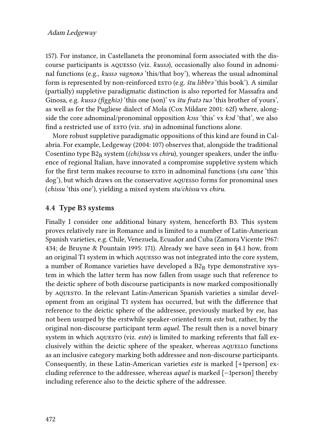157). For instance, in Castellaneta the pronominal form associated with the discourse participants is aquesso (viz. *kussə*), occasionally also found in adnominal functions (e.g., *kussə vagnonə* 'this/that boy'), whereas the usual adnominal form is represented by non-reinforced esto (e.g. *štu libbrə* 'this book'). A similar (partially) suppletive paradigmatic distinction is also reported for Massafra and Ginosa, e.g. *kussə (figghiə)* 'this one (son)' vs *štu fratə tuə* 'this brother of yours', as well as for the Pugliese dialect of Mola([Cox Mildare 2001:](#page-32-14) 62f) where, alongside the core adnominal/pronominal opposition *kɔss* 'this' vs *kɔd* 'that', we also find a restricted use of esto (viz. *stu*) in adnominal functions alone.

More robust suppletive paradigmatic oppositions of this kind are found in Calabria. For example, [Ledgeway \(2004:](#page-34-1) 107) observes that, alongside the traditional Cosentino type  $B2_B$  system (*(chi)ssu* vs *chiru*), younger speakers, under the influence of regional Italian, have innovated a compromise suppletive system which for the first term makes recourse to esto in adnominal functions (*stu cane* 'this dog'), but which draws on the conservative aquesso forms for pronominal uses (*chissu* 'this one'), yielding a mixed system *stu/chissu* vs *chiru*.

#### **4.4 Type B3 systems**

Finally I consider one additional binary system, henceforth B3. This system proves relatively rare in Romance and is limited to a number of Latin-American Spanish varieties, e.g. Chile, Venezuela, Ecuador and Cuba [\(Zamora Vicente 1967](#page-39-1): 434; [de Bruyne & Pountain 1995:](#page-32-15) 171). Already we have seen in§[4.1](#page-15-0) how, from an original T1 system in which aquesso was not integrated into the core system, a number of Romance varieties have developed a  $B2<sub>B</sub>$  type demonstrative system in which the latter term has now fallen from usage such that reference to the deictic sphere of both discourse participants is now marked compositionally by aquesto. In the relevant Latin-American Spanish varieties a similar development from an original T1 system has occurred, but with the difference that reference to the deictic sphere of the addressee, previously marked by *ese*, has not been usurped by the erstwhile speaker-oriented term *este* but, rather, by the original non-discourse participant term *aquel*. The result then is a novel binary system in which AQUESTO (viz. *este*) is limited to marking referents that fall exclusively within the deictic sphere of the speaker, whereas AQUELLO functions as an inclusive category marking both addressee and non-discourse participants. Consequently, in these Latin-American varieties *este* is marked [+1person] excluding reference to the addressee, whereas *aquel* is marked [−1person] thereby including reference also to the deictic sphere of the addressee.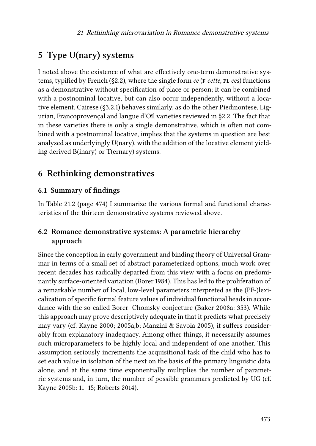## <span id="page-22-0"></span>**5 Type U(nary) systems**

I noted above the existence of what are effectively one-term demonstrative sys-tems, typified by French (§[2.2\)](#page-5-2), where the single form *ce* ( $F$  *cette*,  $PL$  *ces*) functions as a demonstrative without specification of place or person; it can be combined with a postnominal locative, but can also occur independently, without a locative element. Cairese ([§3.2.1](#page-12-0)) behaves similarly, as do the other Piedmontese, Ligurian, Francoprovençal and langue d'Oïl varieties reviewed in [§2.2](#page-5-2). The fact that in these varieties there is only a single demonstrative, which is often not combined with a postnominal locative, implies that the systems in question are best analysed as underlyingly U(nary), with the addition of the locative element yielding derived B(inary) or T(ernary) systems.

## **6 Rethinking demonstratives**

#### **6.1 Summary of findings**

In Table [21.2](#page-23-0) (page [474](#page-23-0)) I summarize the various formal and functional characteristics of the thirteen demonstrative systems reviewed above.

#### <span id="page-22-1"></span>**6.2 Romance demonstrative systems: A parametric hierarchy approach**

Since the conception in early government and binding theory of Universal Grammar in terms of a small set of abstract parameterized options, much work over recent decades has radically departed from this view with a focus on predominantly surface-oriented variation([Borer 1984\)](#page-31-12). This has led to the proliferation of a remarkable number of local, low-level parameters interpreted as the (PF-)lexicalization of specific formal feature values of individual functional heads in accordance with the so-called Borer–Chomsky conjecture([Baker 2008a:](#page-30-10) 353). While this approach may prove descriptively adequate in that it predicts what precisely may vary (cf. [Kayne 2000](#page-34-15); [2005a,](#page-34-16)[b;](#page-34-17) [Manzini & Savoia 2005\)](#page-35-16), it suffers considerably from explanatory inadequacy. Among other things, it necessarily assumes such microparameters to be highly local and independent of one another. This assumption seriously increments the acquisitional task of the child who has to set each value in isolation of the next on the basis of the primary linguistic data alone, and at the same time exponentially multiplies the number of parametric systems and, in turn, the number of possible grammars predicted by UG (cf. [Kayne 2005b](#page-34-17): 11–15; [Roberts 2014](#page-37-13)).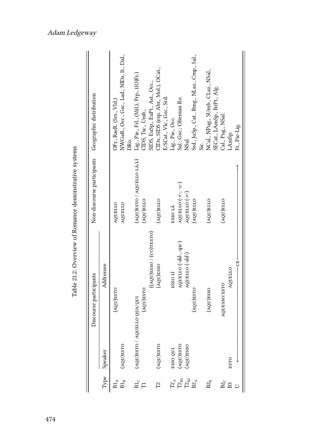|                                                       |                                                    |              | OFr., RaeR. (Srs., Vld.) | NWGaR., Occ., Gsc., Lad., NIDs, It., Dal.,<br>Жo. | Lig., Pie., Frl., (Mil.), Frp., ((O)Fr.) | CIDS, Tsc., Umb., | SIDS, EuSp., EuPt., Ast., Occ., | CIDs, SIDS (esp. Abr., Mol.), OCat.,<br>E/SCat., Vlc., Gsc., Srd. | ig., Pie., Occ.                | Sal.; Gsc.; Oltenian Ro.                           | NSal.                             | Srd., JuSp., Cat., Rmg., NLaz., Cmp., Sal., | NCal., NPug., SUmb., CLaz., NSal.,<br>SECat., LAmSp., BrPt., Alg. | Cal., Pug., NSal. | LAmSp.          | Fr., Pie-Lig. |
|-------------------------------------------------------|----------------------------------------------------|--------------|--------------------------|---------------------------------------------------|------------------------------------------|-------------------|---------------------------------|-------------------------------------------------------------------|--------------------------------|----------------------------------------------------|-----------------------------------|---------------------------------------------|-------------------------------------------------------------------|-------------------|-----------------|---------------|
| Table 21.2: Overview of Romance demonstrative systems | Non-discourse participants Geographic distribution |              | AQUELLO                  | AQUELLO                                           | (AQU)ESTO / AQUELLO LÀ/LÌ                | <b>OTIE(TOV)</b>  |                                 | OTIE(TOV)                                                         | ESSO <sub>LÀ</sub>             | AQUELLO $(-r-, -c-)$                               | AQUELLO (-r-)                     | OTI <sub>3</sub> (TOV)                      | OTIE(TOV)                                                         | OTIE(TOV)         |                 |               |
|                                                       | Discourse participants                             | Addressee    | <b>OTSE(UQA)</b>         | (AQU)ESTO                                         | NOG OTISIO / VOLETO OD VOLI              | <b>AQU)ESTO</b>   | (AQU)ESSO / (CO)TESTO)          | OSS3(UQA)<br>(AQU)ESTO                                            | ESSO <sub>LI</sub><br>ESSO QUI | AQUELLO (-dd-,-qu-)<br><b>OTSE(UOV)</b>            | AQUELLO (-dd-)<br><b>AQU)ESSO</b> | (AQU)ESTO                                   | (AQU)ESSO                                                         | AQUESSO/ESTO      | AQUELLO<br>ESTO | ÷<br>P        |
|                                                       |                                                    | Type Speaker | $B1_A$                   | $B1_B$                                            | $_{\rm B1_C}$                            | $\overline{\Pi}$  |                                 | $\mathbb{Z}^2$                                                    |                                | $\mathbf{T2}_\mathbb{A}$ $\mathbf{T2}_\mathbb{B1}$ | $\rm T2_{B2}$                     | $B2_A$                                      | $B2_B$                                                            | $B2_C$            | B <sub>3</sub>  |               |

<span id="page-23-0"></span>

Adam Ledgeway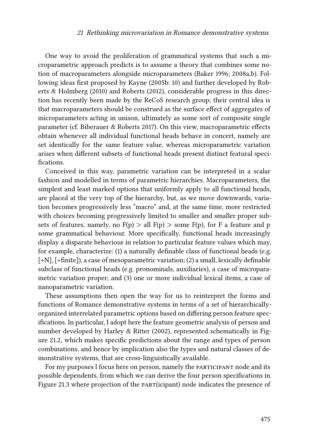One way to avoid the proliferation of grammatical systems that such a microparametric approach predicts is to assume a theory that combines some notion of macroparameters alongside microparameters([Baker 1996](#page-30-11); [2008a](#page-30-10),[b](#page-31-13)). Following ideas first proposed by [Kayne \(2005b:](#page-34-17) 10) and further developed by [Rob](#page-37-0)[erts & Holmberg \(2010\)](#page-37-0) and [Roberts \(2012\)](#page-37-1), considerable progress in this direction has recently been made by the ReCoS research group; their central idea is that macroparameters should be construed as the surface effect of aggregates of microparameters acting in unison, ultimately as some sort of composite single parameter (cf. [Biberauer & Roberts 2017](#page-31-14)). On this view, macroparametric effects obtain whenever all individual functional heads behave in concert, namely are set identically for the same feature value, whereas microparametric variation arises when different subsets of functional heads present distinct featural specifications.

Conceived in this way, parametric variation can be interpreted in a scalar fashion and modelled in terms of parametric hierarchies. Macroparameters, the simplest and least marked options that uniformly apply to all functional heads, are placed at the very top of the hierarchy, but, as we move downwards, variation becomes progressively less "macro" and, at the same time, more restricted with choices becoming progressively limited to smaller and smaller proper subsets of features, namely, no  $F(p) > all F(p) > some F(p)$ , for F a feature and p some grammatical behaviour. More specifically, functional heads increasingly display a disparate behaviour in relation to particular feature values which may, for example, characterize: (1) a naturally definable class of functional heads (e.g. [+N], [+finite]), a case of mesoparametric variation; (2) a small, lexically definable subclass of functional heads (e.g. pronominals, auxiliaries), a case of microparametric variation proper; and (3) one or more individual lexical items, a case of nanoparametric variation.

These assumptions then open the way for us to reinterpret the forms and functions of Romance demonstrative systems in terms of a set of hierarchicallyorganized interrelated parametric options based on differing person feature specifications. In particular, I adopt here the feature geometric analysis of person and number developed by [Harley & Ritter \(2002\)](#page-33-0), represented schematically in Figure [21.2,](#page-25-0) which makes specific predictions about the range and types of person combinations, and hence by implication also the types and natural classes of demonstrative systems, that are cross-linguistically available.

For my purposes I focus here on person, namely the PARTICIPANT node and its possible dependents, from which we can derive the four person specifications in Figure [21.3](#page-25-1) where projection of the part(icipant) node indicates the presence of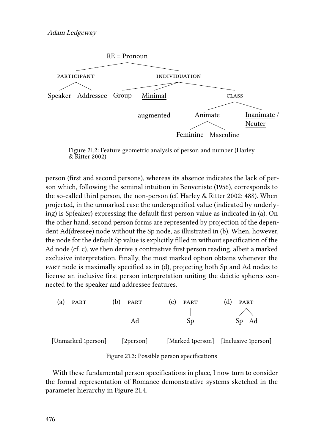<span id="page-25-0"></span>

Figure 21.2: Feature geometric analysis of person and number([Harley](#page-33-0) [& Ritter 2002](#page-33-0))

person (first and second persons), whereas its absence indicates the lack of person which, following the seminal intuition in [Benveniste \(1956\)](#page-31-15), corresponds to the so-called third person, the non-person (cf. [Harley & Ritter 2002:](#page-33-0) 488). When projected, in the unmarked case the underspecified value (indicated by underlying) is Sp(eaker) expressing the default first person value as indicated in (a). On the other hand, second person forms are represented by projection of the dependent Ad(dressee) node without the Sp node, as illustrated in (b). When, however, the node for the default Sp value is explicitly filled in without specification of the Ad node (cf. c), we then derive a contrastive first person reading, albeit a marked exclusive interpretation. Finally, the most marked option obtains whenever the part node is maximally specified as in (d), projecting both Sp and Ad nodes to license an inclusive first person interpretation uniting the deictic spheres connected to the speaker and addressee features.

<span id="page-25-1"></span>

Figure 21.3: Possible person specifications

With these fundamental person specifications in place, I now turn to consider the formal representation of Romance demonstrative systems sketched in the parameter hierarchy in Figure [21.4.](#page-26-0)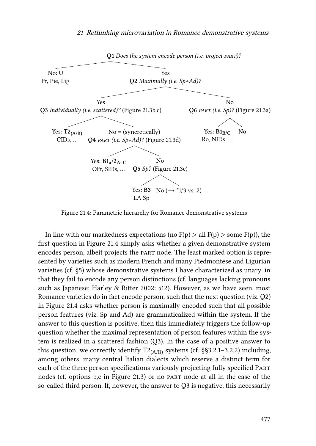<span id="page-26-0"></span>

Figure 21.4: Parametric hierarchy for Romance demonstrative systems

In line with our markedness expectations (no  $F(p) > all F(p) > some F(p)$ ), the first question in Figure [21.4](#page-26-0) simply asks whether a given demonstrative system encodes person, albeit projects the part node. The least marked option is represented by varieties such as modern French and many Piedmontese and Ligurian varieties (cf. [§5](#page-22-0)) whose demonstrative systems I have characterized as unary, in that they fail to encode any person distinctions (cf. languages lacking pronouns such as Japanese; [Harley & Ritter 2002](#page-33-0): 512). However, as we have seen, most Romance varieties do in fact encode person, such that the next question (viz. Q2) in Figure [21.4](#page-26-0) asks whether person is maximally encoded such that all possible person features (viz. Sp and Ad) are grammaticalized within the system. If the answer to this question is positive, then this immediately triggers the follow-up question whether the maximal representation of person features within the system is realized in a scattered fashion (Q3). In the case of a positive answer to this question, we correctly identify  $T2_{(A/B)}$  systems (cf. §§[3.2.1–](#page-12-0)[3.2.2\)](#page-14-1) including, among others, many central Italian dialects which reserve a distinct term for each of the three person specifications variously projecting fully specified Part nodes (cf. options b,c in Figure [21.3](#page-25-1)) or no part node at all in the case of the so-called third person. If, however, the answer to Q3 is negative, this necessarily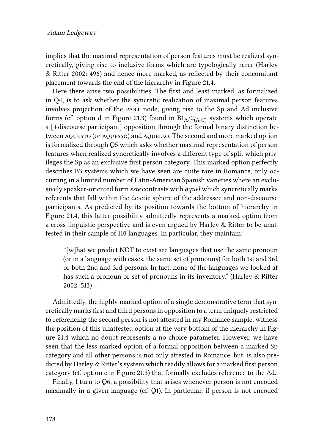implies that the maximal representation of person features must be realized syncretically, giving rise to inclusive forms which are typologically rarer([Harley](#page-33-0) [& Ritter 2002](#page-33-0): 496) and hence more marked, as reflected by their concomitant placement towards the end of the hierarchy in Figure [21.4](#page-26-0).

Here there arise two possibilities. The first and least marked, as formalized in Q4, is to ask whether the syncretic realization of maximal person features involves projection of the part node, giving rise to the Sp and Ad inclusive forms (cf. option d in Figure [21.3](#page-25-1)) found in  $B1_A/2_{(A-C)}$  systems which operate a [±discourse participant] opposition through the formal binary distinction between AQUESTO (or AQUESSO) and AQUELLO. The second and more marked option is formalized through Q5 which asks whether maximal representation of person features when realized syncretically involves a different type of split which privileges the Sp as an exclusive first person category. This marked option perfectly describes B3 systems which we have seen are quite rare in Romance, only occurring in a limited number of Latin-American Spanish varieties where an exclusively speaker-oriented form *este* contrasts with *aquel* which syncretically marks referents that fall within the deictic sphere of the addressee and non-discourse participants. As predicted by its position towards the bottom of hierarchy in Figure [21.4](#page-26-0), this latter possibility admittedly represents a marked option from a cross-linguistic perspective and is even argued by Harley & Ritter to be unattested in their sample of 110 languages. In particular, they maintain:

"[w]hat we predict NOT to exist are languages that use the same pronoun (or in a language with cases, the same set of pronouns) for both 1st and 3rd or both 2nd and 3rd persons. In fact, none of the languages we looked at has such a pronoun or set of pronouns in its inventory."([Harley & Ritter](#page-33-0) [2002:](#page-33-0) 513)

Admittedly, the highly marked option of a single demonstrative term that syncretically marks first and third persons in opposition to a term uniquely restricted to referencing the second person is not attested in my Romance sample, witness the position of this unattested option at the very bottom of the hierarchy in Figure [21.4](#page-26-0) which no doubt represents a no choice parameter. However, we have seen that the less marked option of a formal opposition between a marked Sp category and all other persons is not only attested in Romance, but, is also predicted by [Harley & Ritter](#page-33-0)'s system which readily allows for a marked first person category (cf. option c in Figure [21.3\)](#page-25-1) that formally excludes reference to the Ad.

Finally, I turn to Q6, a possibility that arises whenever person is not encoded maximally in a given language (cf. Q1). In particular, if person is not encoded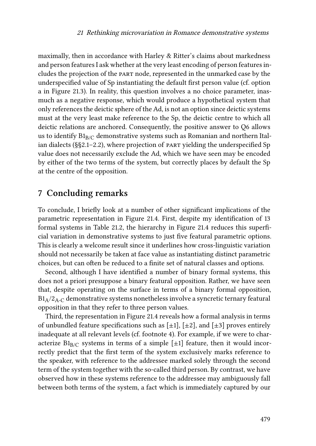maximally, then in accordance with Harley & Ritter's claims about markedness and person features I ask whether at the very least encoding of person features includes the projection of the part node, represented in the unmarked case by the underspecified value of Sp instantiating the default first person value (cf. option a in Figure [21.3\)](#page-25-1). In reality, this question involves a no choice parameter, inasmuch as a negative response, which would produce a hypothetical system that only references the deictic sphere of the Ad, is not an option since deictic systems must at the very least make reference to the Sp, the deictic centre to which all deictic relations are anchored. Consequently, the positive answer to Q6 allows us to identify  $B1_{B/C}$  demonstrative systems such as Romanian and northern Italian dialects (§[§2.1–](#page-1-2)[2.2\)](#page-5-2), where projection of part yielding the underspecified Sp value does not necessarily exclude the Ad, which we have seen may be encoded by either of the two terms of the system, but correctly places by default the Sp at the centre of the opposition.

## **7 Concluding remarks**

To conclude, I briefly look at a number of other significant implications of the parametric representation in Figure [21.4.](#page-26-0) First, despite my identification of 13 formal systems in Table [21.2,](#page-23-0) the hierarchy in Figure [21.4](#page-26-0) reduces this superficial variation in demonstrative systems to just five featural parametric options. This is clearly a welcome result since it underlines how cross-linguistic variation should not necessarily be taken at face value as instantiating distinct parametric choices, but can often be reduced to a finite set of natural classes and options.

Second, although I have identified a number of binary formal systems, this does not a priori presuppose a binary featural opposition. Rather, we have seen that, despite operating on the surface in terms of a binary formal opposition,  $B1_A/2_A$ -C demonstrative systems nonetheless involve a syncretic ternary featural opposition in that they refer to three person values.

Third, the representation in Figure [21.4](#page-26-0) reveals how a formal analysis in terms of unbundled feature specifications such as  $[\pm 1]$ ,  $[\pm 2]$ , and  $[\pm 3]$  proves entirely inadequate at all relevant levels (cf. footnote [4\)](#page-7-2). For example, if we were to characterize  $B1_{B/C}$  systems in terms of a simple [ $\pm 1$ ] feature, then it would incorrectly predict that the first term of the system exclusively marks reference to the speaker, with reference to the addressee marked solely through the second term of the system together with the so-called third person. By contrast, we have observed how in these systems reference to the addressee may ambiguously fall between both terms of the system, a fact which is immediately captured by our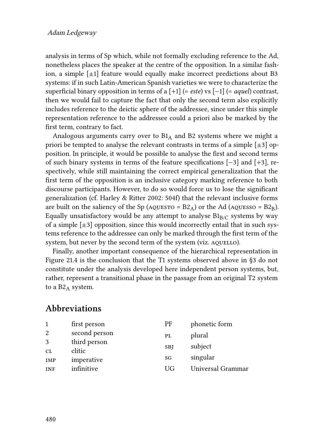#### Adam Ledgeway

analysis in terms of Sp which, while not formally excluding reference to the Ad, nonetheless places the speaker at the centre of the opposition. In a similar fashion, a simple  $[\pm 1]$  feature would equally make incorrect predictions about B3 systems: if in such Latin-American Spanish varieties we were to characterize the superficial binary opposition in terms of a [+1] (= *este*) vs [−1] (= *aquel*) contrast, then we would fail to capture the fact that only the second term also explicitly includes reference to the deictic sphere of the addressee, since under this simple representation reference to the addressee could a priori also be marked by the first term, contrary to fact.

Analogous arguments carry over to  $B1_A$  and B2 systems where we might a priori be tempted to analyse the relevant contrasts in terms of a simple  $[\pm 3]$  opposition. In principle, it would be possible to analyse the first and second terms of such binary systems in terms of the feature specifications [−3] and [+3], respectively, while still maintaining the correct empirical generalization that the first term of the opposition is an inclusive category marking reference to both discourse participants. However, to do so would force us to lose the significant generalization (cf. [Harley & Ritter 2002](#page-33-0): 504f) that the relevant inclusive forms are built on the saliency of the Sp (AQUESTO =  $B2_A$ ) or the Ad (AQUESSO =  $B2_B$ ). Equally unsatisfactory would be any attempt to analyse  $B1_{B/C}$  systems by way of a simple  $[\pm 3]$  opposition, since this would incorrectly entail that in such systems reference to the addressee can only be marked through the first term of the system, but never by the second term of the system (viz. AQUELLO).

Finally, another important consequence of the hierarchical representation in Figure [21.4](#page-26-0) is the conclusion that the T1 systems observed above in §[3](#page-7-1) do not constitute under the analysis developed here independent person systems, but, rather, represent a transitional phase in the passage from an original T2 system to a  $B2_A$  system.

#### **Abbreviations**

| 1                | first person           | PF         | phonetic form     |
|------------------|------------------------|------------|-------------------|
| 2                | second person          | PL         | plural            |
| 3                | third person<br>clitic | <b>SBJ</b> | subject           |
| CL<br><b>IMP</b> | imperative             | SG         | singular          |
| <b>INF</b>       | infinitive             | UG         | Universal Grammar |
|                  |                        |            |                   |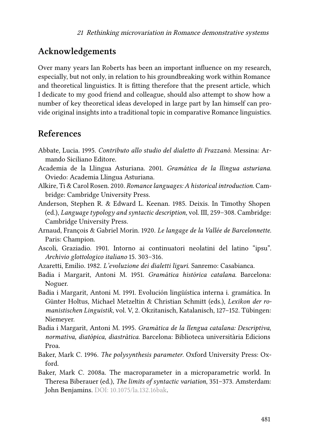## **Acknowledgements**

Over many years Ian Roberts has been an important influence on my research, especially, but not only, in relation to his groundbreaking work within Romance and theoretical linguistics. It is fitting therefore that the present article, which I dedicate to my good friend and colleague, should also attempt to show how a number of key theoretical ideas developed in large part by Ian himself can provide original insights into a traditional topic in comparative Romance linguistics.

## **References**

- <span id="page-30-8"></span>Abbate, Lucia. 1995. *Contributo allo studio del dialetto di Frazzanò*. Messina: Armando Siciliano Editore.
- <span id="page-30-1"></span>Academia de la Llingua Asturiana. 2001. *Gramática de la llingua asturiana*. Oviedo: Academia Llingua Asturiana.
- <span id="page-30-0"></span>Alkire, Ti & Carol Rosen. 2010. *Romance languages: A historical introduction*. Cambridge: Cambridge University Press.
- <span id="page-30-9"></span>Anderson, Stephen R. & Edward L. Keenan. 1985. Deixis. In Timothy Shopen (ed.), *Language typology and syntactic description*, vol. III, 259–308. Cambridge: Cambridge University Press.
- <span id="page-30-2"></span>Arnaud, François & Gabriel Morin. 1920. *Le langage de la Vallée de Barcelonnette*. Paris: Champion.
- <span id="page-30-6"></span>Ascoli, Graziadio. 1901. Intorno ai continuatori neolatini del latino "ipsu". *Archivio glottologico italiano* 15. 303–316.
- <span id="page-30-3"></span>Azaretti, Emilio. 1982. *L'evoluzione dei dialetti liguri*. Sanremo: Casabianca.
- <span id="page-30-7"></span>Badia i Margarit, Antoni M. 1951. *Gramática histórica catalana*. Barcelona: Noguer.
- <span id="page-30-5"></span>Badia i Margarit, Antoni M. 1991. Evolución lingüística interna i. gramática. In Günter Holtus, Michael Metzeltin & Christian Schmitt (eds.), *Lexikon der romanistischen Linguistik*, vol. V, 2. Okzitanisch, Katalanisch, 127–152. Tübingen: Niemeyer.
- <span id="page-30-4"></span>Badia i Margarit, Antoni M. 1995. *Gramàtica de la llengua catalana: Descriptiva, normativa, diatòpica, diastràtica*. Barcelona: Biblioteca universitària Edicions Proa.
- <span id="page-30-11"></span>Baker, Mark C. 1996. *The polysynthesis parameter*. Oxford University Press: Oxford.
- <span id="page-30-10"></span>Baker, Mark C. 2008a. The macroparameter in a microparametric world. In Theresa Biberauer (ed.), *The limits of syntactic variation*, 351–373. Amsterdam: John Benjamins. DOI: [10.1075/la.132.16bak](https://doi.org/10.1075/la.132.16bak).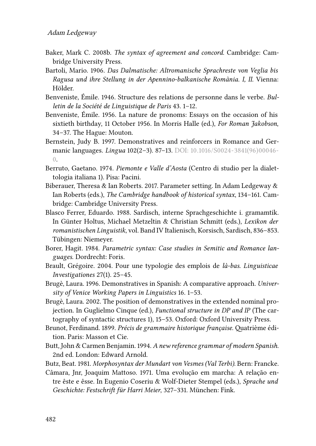- <span id="page-31-13"></span>Baker, Mark C. 2008b. *The syntax of agreement and concord*. Cambridge: Cambridge University Press.
- <span id="page-31-2"></span>Bartoli, Mario. 1906. *Das Dalmatische: Altromanische Sprachreste von Veglia bis Ragusa und ihre Stellung in der Apennino-balkanische Romània. I, II*. Vienna: Hölder.
- <span id="page-31-0"></span>Benveniste, Émile. 1946. Structure des relations de personne dans le verbe. *Bulletin de la Société de Linguistique de Paris* 43. 1–12.
- <span id="page-31-15"></span>Benveniste, Émile. 1956. La nature de pronoms: Essays on the occasion of his sixtieth birthday, 11 October 1956. In Morris Halle (ed.), *For Roman Jakobson*, 34–37. The Hague: Mouton.
- <span id="page-31-1"></span>Bernstein, Judy B. 1997. Demonstratives and reinforcers in Romance and Germanic languages. *Lingua* 102(2–3). 87–13. DOI: [10.1016/S0024-3841\(96\)00046-](https://doi.org/10.1016/S0024-3841(96)00046-0) [0.](https://doi.org/10.1016/S0024-3841(96)00046-0)
- <span id="page-31-3"></span>Berruto, Gaetano. 1974. *Piemonte e Valle d'Aosta* (Centro di studio per la dialettologia italiana 1). Pisa: Pacini.
- <span id="page-31-14"></span>Biberauer, Theresa & Ian Roberts. 2017. Parameter setting. In Adam Ledgeway & Ian Roberts (eds.), *The Cambridge handbook of historical syntax*, 134–161. Cambridge: Cambridge University Press.
- <span id="page-31-10"></span>Blasco Ferrer, Eduardo. 1988. Sardisch, interne Sprachgeschichte i. gramamtik. In Günter Holtus, Michael Metzeltin & Christian Schmitt (eds.), *Lexikon der romanistischen Linguistik*, vol. Band IV Italienisch, Korsisch, Sardisch, 836–853. Tübingen: Niemeyer.
- <span id="page-31-12"></span>Borer, Hagit. 1984. *Parametric syntax: Case studies in Semitic and Romance languages*. Dordrecht: Foris.
- <span id="page-31-6"></span>Brault, Grégoire. 2004. Pour une typologie des emplois de *là-bas*. *Linguisticae Investigationes* 27(1). 25–45.
- <span id="page-31-8"></span>Brugè, Laura. 1996. Demonstratives in Spanish: A comparative approach. *University of Venice Working Papers in Linguistics* 16. 1–53.
- <span id="page-31-9"></span>Brugè, Laura. 2002. The position of demonstratives in the extended nominal projection. In Guglielmo Cinque (ed.), *Functional structure in DP and IP* (The cartography of syntactic structures 1), 15–53. Oxford: Oxford University Press.
- <span id="page-31-5"></span>Brunot, Ferdinand. 1899. *Précis de grammaire historique française*. Quatrième édition. Paris: Masson et Cie.
- <span id="page-31-7"></span>Butt, John & Carmen Benjamin. 1994. *A new reference grammar of modern Spanish*. 2nd ed. London: Edward Arnold.
- <span id="page-31-4"></span>Butz, Beat. 1981. *Morphosyntax der Mundart von Vesmes (Val Terbi)*. Bern: Francke.
- <span id="page-31-11"></span>Câmara, Jnr, Joaquim Mattoso. 1971. Uma evolução em marcha: A relação entre êste e êsse. In Eugenio Coseriu & Wolf-Dieter Stempel (eds.), *Sprache und Geschichte: Festschrift für Harri Meier*, 327–331. München: Fink.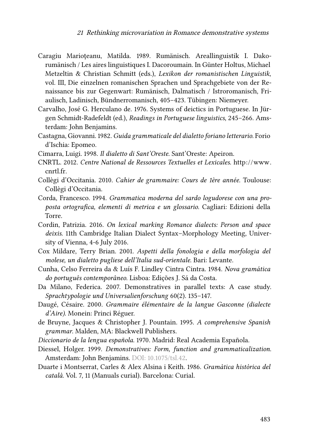- <span id="page-32-1"></span>Caragiu Marioţeanu, Matilda. 1989. Rumänisch. Areallinguistik I. Dakorumänisch / Les aires linguistiques I. Dacoroumain. In Günter Holtus, Michael Metzeltin & Christian Schmitt (eds.), *Lexikon der romanistischen Linguistik*, vol. III, Die einzelnen romanischen Sprachen und Sprachgebiete von der Renaissance bis zur Gegenwart: Rumänisch, Dalmatisch / Istroromanisch, Friaulisch, Ladinisch, Bündnerromanisch, 405–423. Tübingen: Niemeyer.
- <span id="page-32-7"></span>Carvalho, José G. Herculano de. 1976. Systems of deictics in Portuguese. In Jürgen Schmidt-Radefeldt (ed.), *Readings in Portuguese linguistics*, 245–266. Amsterdam: John Benjamins.
- <span id="page-32-13"></span>Castagna, Giovanni. 1982. *Guida grammaticale del dialetto foriano letterario*. Forio d'Ischia: Epomeo.
- <span id="page-32-8"></span>Cimarra, Luigi. 1998. *Il dialetto di Sant'Oreste*. Sant'Oreste: Apeiron.
- <span id="page-32-0"></span>CNRTL. 2012. *Centre National de Ressources Textuelles et Lexicales*. [http://www.](http://www.cnrtl.fr) [cnrtl.fr.](http://www.cnrtl.fr)
- <span id="page-32-11"></span>Collègi d'Occitania. 2010. *Cahier de grammaire: Cours de 1ère année*. Toulouse: Collègi d'Occitania.
- <span id="page-32-10"></span>Corda, Francesco. 1994. *Grammatica moderna del sardo logudorese con una proposta ortografica, elementi di metrica e un glossario*. Cagliari: Edizioni della Torre.
- <span id="page-32-2"></span>Cordin, Patrizia. 2016. *On lexical marking Romance dialects: Person and space deixis*. 11th Cambridge Italian Dialect Syntax–Morphology Meeting, University of Vienna, 4-6 July 2016.
- <span id="page-32-14"></span>Cox Mildare, Terry Brian. 2001. *Aspetti della fonologia e della morfologia del molese, un dialetto pugliese dell'Italia sud-orientale*. Bari: Levante.
- <span id="page-32-6"></span>Cunha, Celso Ferreira da & Luís F. Lindley Cintra Cintra. 1984. *Nova gramática do português contemporâneo*. Lisboa: Edições J. Sá da Costa.
- <span id="page-32-3"></span>Da Milano, Federica. 2007. Demonstratives in parallel texts: A case study. *Sprachtypologie und Universalienforschung* 60(2). 135–147.
- <span id="page-32-12"></span>Daugé, Césaire. 2000. *Grammaire élémentaire de la langue Gasconne (dialecte d'Aire)*. Monein: Princi Réguer.
- <span id="page-32-15"></span>de Bruyne, Jacques & Christopher J. Pountain. 1995. *A comprehensive Spanish grammar*. Malden, MA: Blackwell Publishers.
- <span id="page-32-4"></span>*Diccionario de la lengua española*. 1970. Madrid: Real Academia Española.
- <span id="page-32-5"></span>Diessel, Holger. 1999. *Demonstratives: Form, function and grammaticalization*. Amsterdam: John Benjamins. DOI: [10.1075/tsl.42.](https://doi.org/10.1075/tsl.42)
- <span id="page-32-9"></span>Duarte i Montserrat, Carles & Alex Alsina i Keith. 1986. *Gramàtica històrica del català*. Vol. 7, 11 (Manuals curial). Barcelona: Curial.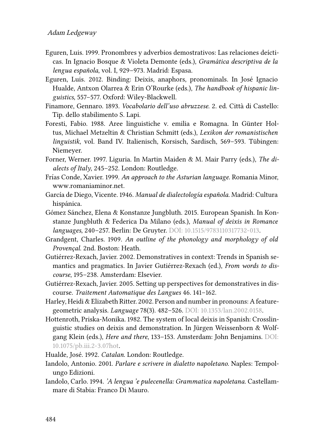#### Adam Ledgeway

- <span id="page-33-4"></span>Eguren, Luis. 1999. Pronombres y adverbios demostrativos: Las relaciones deícticas. In Ignacio Bosque & Violeta Demonte (eds.), *Gramática descriptiva de la lengua española*, vol. I, 929–973. Madrid: Espasa.
- <span id="page-33-5"></span>Eguren, Luis. 2012. Binding: Deixis, anaphors, pronominals. In José Ignacio Hualde, Antxon Olarrea & Erin O'Rourke (eds.), *The handbook of hispanic linguistics*, 557–577. Oxford: Wiley-Blackwell.
- <span id="page-33-12"></span>Finamore, Gennaro. 1893. *Vocabolario dell'uso abruzzese*. 2. ed. Città di Castello: Tip. dello stabilimento S. Lapi.
- <span id="page-33-3"></span>Foresti, Fabio. 1988. Aree linguistiche v. emilia e Romagna. In Günter Holtus, Michael Metzeltin & Christian Schmitt (eds.), *Lexikon der romanistischen linguistik*, vol. Band IV. Italienisch, Korsisch, Sardisch, 569–593. Tübingen: Niemeyer.
- <span id="page-33-2"></span>Forner, Werner. 1997. Liguria. In Martin Maiden & M. Mair Parry (eds.), *The dialects of Italy*, 245–252. London: Routledge.
- <span id="page-33-11"></span>Frías Conde, Xavier. 1999. *An approach to the Asturian language*. Romania Minor, [www.romaniaminor.net.](www.romaniaminor.net)
- <span id="page-33-10"></span>García de Diego, Vicente. 1946. *Manual de dialectología española*. Madrid: Cultura hispánica.
- <span id="page-33-8"></span>Gómez Sánchez, Elena & Konstanze Jungbluth. 2015. European Spanish. In Konstanze Jungbluth & Federica Da Milano (eds.), *Manual of deixis in Romance languages*, 240–257. Berlin: De Gruyter. DOI: [10.1515/9783110317732-013](https://doi.org/10.1515/9783110317732-013).
- <span id="page-33-1"></span>Grandgent, Charles. 1909. *An outline of the phonology and morphology of old Provençal*. 2nd. Boston: Heath.
- <span id="page-33-6"></span>Gutiérrez-Rexach, Javier. 2002. Demonstratives in context: Trends in Spanish semantics and pragmatics. In Javier Gutiérrez-Rexach (ed.), *From words to discourse*, 195–238. Amsterdam: Elsevier.
- <span id="page-33-7"></span>Gutiérrez-Rexach, Javier. 2005. Setting up perspectives for demonstratives in discourse. *Traitement Automatique des Langues* 46. 141–162.
- <span id="page-33-0"></span>Harley, Heidi & Elizabeth Ritter. 2002. Person and number in pronouns: A featuregeometric analysis. *Language* 78(3). 482–526. DOI: [10.1353/lan.2002.0158.](https://doi.org/10.1353/lan.2002.0158)
- <span id="page-33-9"></span>Hottenroth, Priska-Monika. 1982. The system of local deixis in Spanish: Crosslinguistic studies on deixis and demonstration. In Jürgen Weissenborn & Wolfgang Klein (eds.), *Here and there*, 133–153. Amsterdam: John Benjamins. DOI: [10.1075/pb.iii.2-3.07hot](https://doi.org/10.1075/pb.iii.2-3.07hot).
- <span id="page-33-13"></span>Hualde, José. 1992. *Catalan*. London: Routledge.
- <span id="page-33-15"></span>Iandolo, Antonio. 2001. *Parlare e scrivere in dialetto napoletano*. Naples: Tempolungo Edizioni.
- <span id="page-33-14"></span>Iandolo, Carlo. 1994. *'A lengua 'e pulecenella: Grammatica napoletana*. Castellammare di Stabia: Franco Di Mauro.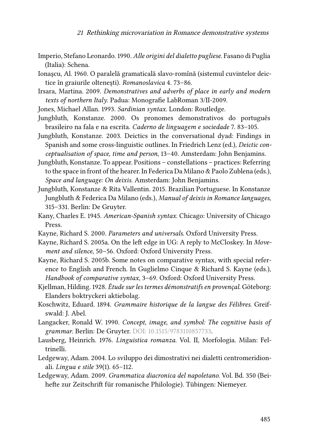- <span id="page-34-14"></span>Imperio, Stefano Leonardo. 1990. *Alle origini del dialetto pugliese*. Fasano di Puglia (Italia): Schena.
- <span id="page-34-11"></span>Ionașcu, Al. 1960. O paralelă gramaticală slavo-romînă (sistemul cuvintelor deictice în graiurile oltenești). *Romanoslavica* 4. 73-86.
- <span id="page-34-2"></span>Irsara, Martina. 2009. *Demonstratives and adverbs of place in early and modern texts of northern Italy*. Padua: Monografie LabRoman 3/II-2009.
- <span id="page-34-10"></span>Jones, Michael Allan. 1993. *Sardinian syntax*. London: Routledge.
- <span id="page-34-9"></span>Jungbluth, Konstanze. 2000. Os pronomes demonstrativos do português brasileiro na fala e na escrita. *Caderno de linguagem e sociedade* 7. 83–105.
- <span id="page-34-6"></span>Jungbluth, Konstanze. 2003. Deictics in the conversational dyad: Findings in Spanish and some cross-linguistic outlines. In Friedrich Lenz (ed.), *Deictic conceptualisation of space, time and person*, 13–40. Amsterdam: John Benjamins.
- <span id="page-34-7"></span>Jungbluth, Konstanze. To appear. Positions – constellations – practices: Referring to the space in front of the hearer. In Federica Da Milano & Paolo Zublena (eds.), *Space and language: On deixis*. Amsterdam: John Benjamins.
- <span id="page-34-13"></span>Jungbluth, Konstanze & Rita Vallentin. 2015. Brazilian Portuguese. In Konstanze Jungbluth & Federica Da Milano (eds.), *Manual of deixis in Romance languages*, 315–331. Berlin: De Gruyter.
- <span id="page-34-12"></span>Kany, Charles E. 1945. *American-Spanish syntax*. Chicago: University of Chicago Press.
- <span id="page-34-15"></span>Kayne, Richard S. 2000. *Parameters and universals*. Oxford University Press.
- <span id="page-34-16"></span>Kayne, Richard S. 2005a. On the left edge in UG: A reply to McCloskey. In *Movement and silence*, 50–56. Oxford: Oxford University Press.
- <span id="page-34-17"></span>Kayne, Richard S. 2005b. Some notes on comparative syntax, with special reference to English and French. In Guglielmo Cinque & Richard S. Kayne (eds.), *Handbook of comparative syntax*, 3–69. Oxford: Oxford University Press.
- <span id="page-34-4"></span>Kjellman, Hilding. 1928. *Étude sur les termes démonstratifs en provençal*. Göteborg: Elanders boktryckeri aktiebolag.
- <span id="page-34-3"></span>Koschwitz, Eduard. 1894. *Grammaire historique de la langue des Félibres*. Greifswald: J. Abel.
- <span id="page-34-8"></span>Langacker, Ronald W. 1990. *Concept, image, and symbol: The cognitive basis of grammar*. Berlin: De Gruyter. DOI: [10.1515/9783110857733](https://doi.org/10.1515/9783110857733).
- <span id="page-34-0"></span>Lausberg, Heinrich. 1976. *Linguistica romanza*. Vol. II, Morfologia. Milan: Feltrinelli.
- <span id="page-34-1"></span>Ledgeway, Adam. 2004. Lo sviluppo dei dimostrativi nei dialetti centromeridionali. *Lingua e stile* 39(1). 65–112.
- <span id="page-34-5"></span>Ledgeway, Adam. 2009. *Grammatica diacronica del napoletano*. Vol. Bd. 350 (Beihefte zur Zeitschrift für romanische Philologie). Tübingen: Niemeyer.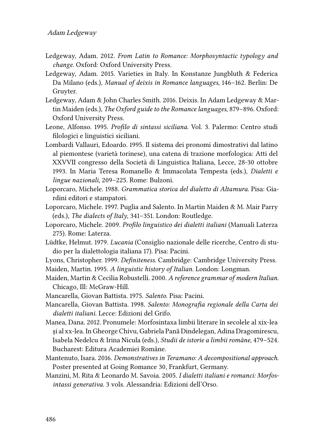- <span id="page-35-4"></span>Ledgeway, Adam. 2012. *From Latin to Romance: Morphosyntactic typology and change*. Oxford: Oxford University Press.
- <span id="page-35-1"></span>Ledgeway, Adam. 2015. Varieties in Italy. In Konstanze Jungbluth & Federica Da Milano (eds.), *Manual of deixis in Romance languages*, 146–162. Berlin: De Gruyter.
- <span id="page-35-2"></span>Ledgeway, Adam & John Charles Smith. 2016. Deixis. In Adam Ledgeway & Martin Maiden (eds.), *The Oxford guide to the Romance languages*, 879–896. Oxford: Oxford University Press.
- <span id="page-35-7"></span>Leone, Alfonso. 1995. *Profilo di sintassi siciliana*. Vol. 3. Palermo: Centro studi filologici e linguistici siciliani.
- <span id="page-35-9"></span>Lombardi Vallauri, Edoardo. 1995. Il sistema dei pronomi dimostrativi dal latino al piemontese (varietà torinese), una catena di trazione morfologica: Atti del XXVVII congresso della Società di Linguistica Italiana, Lecce, 28-30 ottobre 1993. In Maria Teresa Romanello & Immacolata Tempesta (eds.), *Dialetti e lingue nazionali*, 209–225. Rome: Bulzoni.
- <span id="page-35-14"></span>Loporcaro, Michele. 1988. *Grammatica storica del dialetto di Altamura*. Pisa: Giardini editori e stampatori.
- <span id="page-35-15"></span>Loporcaro, Michele. 1997. Puglia and Salento. In Martin Maiden & M. Mair Parry (eds.), *The dialects of Italy*, 341–351. London: Routledge.
- <span id="page-35-5"></span>Loporcaro, Michele. 2009. *Profilo linguistico dei dialetti italiani* (Manuali Laterza 275). Rome: Laterza.
- <span id="page-35-6"></span>Lüdtke, Helmut. 1979. *Lucania* (Consiglio nazionale delle ricerche, Centro di studio per la dialettologia italiana 17). Pisa: Pacini.
- <span id="page-35-0"></span>Lyons, Christopher. 1999. *Definiteness*. Cambridge: Cambridge University Press.
- <span id="page-35-11"></span>Maiden, Martin. 1995. *A linguistic history of Italian*. London: Longman.
- <span id="page-35-12"></span>Maiden, Martin & Cecilia Robustelli. 2000. *A reference grammar of modern Italian*. Chicago, Ill: McGraw-Hill.
- <span id="page-35-13"></span>Mancarella, Giovan Battista. 1975. *Salento*. Pisa: Pacini.
- <span id="page-35-10"></span>Mancarella, Giovan Battista. 1998. *Salento: Monografia regionale della Carta dei dialetti italiani*. Lecce: Edizioni del Grifo.
- <span id="page-35-3"></span>Manea, Dana. 2012. Pronumele: Morfosintaxa limbii literare în secolele al xix-lea şi al xx-lea. In Gheorge Chivu, Gabriela Pană Dindelegan, Adina Dragomirescu, Isabela Nedelcu & Irina Nicula (eds.), *Studii de istorie a limbii române*, 479–524. Bucharest: Editura Academiei Române.
- <span id="page-35-8"></span>Mantenuto, Isara. 2016. *Demonstratives in Teramano: A decompositional approach*. Poster presented at Going Romance 30, Frankfurt, Germany.
- <span id="page-35-16"></span>Manzini, M. Rita & Leonardo M. Savoia. 2005. *I dialetti italiani e romanci: Morfosintassi generativa*. 3 vols. Alessandria: Edizioni dell'Orso.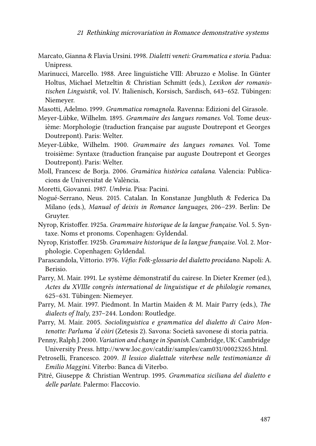- <span id="page-36-4"></span>Marcato, Gianna & Flavia Ursini. 1998. *Dialetti veneti: Grammatica e storia*. Padua: Unipress.
- <span id="page-36-8"></span>Marinucci, Marcello. 1988. Aree linguistiche VIII: Abruzzo e Molise. In Günter Holtus, Michael Metzeltin & Christian Schmitt (eds.), *Lexikon der romanistischen Linguistik*, vol. IV. Italienisch, Korsisch, Sardisch, 643–652. Tübingen: Niemeyer.
- <span id="page-36-15"></span>Masotti, Adelmo. 1999. *Grammatica romagnola*. Ravenna: Edizioni del Girasole.
- <span id="page-36-0"></span>Meyer-Lübke, Wilhelm. 1895. *Grammaire des langues romanes*. Vol. Tome deuxième: Morphologie (traduction française par auguste Doutrepont et Georges Doutrepont). Paris: Welter.
- <span id="page-36-1"></span>Meyer-Lübke, Wilhelm. 1900. *Grammaire des langues romanes*. Vol. Tome troisième: Syntaxe (traduction française par auguste Doutrepont et Georges Doutrepont). Paris: Welter.
- <span id="page-36-10"></span>Moll, Francesc de Borja. 2006. *Gramàtica històrica catalana*. Valencia: Publicacions de Universitat de València.
- <span id="page-36-9"></span>Moretti, Giovanni. 1987. *Umbria*. Pisa: Pacini.
- <span id="page-36-11"></span>Nogué-Serrano, Neus. 2015. Catalan. In Konstanze Jungbluth & Federica Da Milano (eds.), *Manual of deixis in Romance languages*, 206–239. Berlin: De Gruyter.
- <span id="page-36-2"></span>Nyrop, Kristoffer. 1925a. *Grammaire historique de la langue française*. Vol. 5. Syntaxe. Noms et pronoms. Copenhagen: Gyldendal.
- <span id="page-36-3"></span>Nyrop, Kristoffer. 1925b. *Grammaire historique de la langue française*. Vol. 2. Morphologie. Copenhagen: Gyldendal.
- <span id="page-36-14"></span>Parascandola, Vittorio. 1976. *Vèfio: Folk-glossario del dialetto procidano*. Napoli: A. Berisio.
- <span id="page-36-12"></span>Parry, M. Mair. 1991. Le système démonstratif du cairese. In Dieter Kremer (ed.), *Actes du XVIIIe congrès international de linguistique et de philologie romanes*, 625–631. Tübingen: Niemeyer.
- <span id="page-36-5"></span>Parry, M. Mair. 1997. Piedmont. In Martin Maiden & M. Mair Parry (eds.), *The dialects of Italy*, 237–244. London: Routledge.
- <span id="page-36-13"></span>Parry, M. Mair. 2005. *Sociolinguistica e grammatica del dialetto di Cairo Montenotte: Parluma 'd còiri* (Zetesis 2). Savona: Società savonese di storia patria.
- <span id="page-36-6"></span>Penny, Ralph J. 2000. *Variation and change in Spanish*. Cambridge, UK: Cambridge University Press. <http://www.loc.gov/catdir/samples/cam031/00023265.html>.
- <span id="page-36-16"></span>Petroselli, Francesco. 2009. *Il lessico dialettale viterbese nelle testimonianze di Emilio Maggini*. Viterbo: Banca di Viterbo.
- <span id="page-36-7"></span>Pitré, Giuseppe & Christian Wentrup. 1995. *Grammatica siciliana del dialetto e delle parlate*. Palermo: Flaccovio.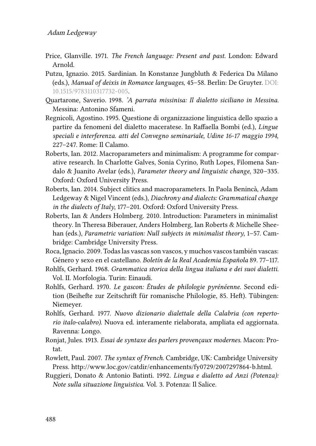- <span id="page-37-4"></span>Price, Glanville. 1971. *The French language: Present and past*. London: Edward Arnold.
- <span id="page-37-8"></span>Putzu, Ignazio. 2015. Sardinian. In Konstanze Jungbluth & Federica Da Milano (eds.), *Manual of deixis in Romance languages*, 45–58. Berlin: De Gruyter. DOI: [10.1515/9783110317732-005](https://doi.org/10.1515/9783110317732-005).
- <span id="page-37-11"></span>Quartarone, Saverio. 1998. *'A parrata missinisa: Il dialetto siciliano in Messina*. Messina: Antonino Sfameni.
- <span id="page-37-7"></span>Regnicoli, Agostino. 1995. Questione di organizzazione linguistica dello spazio a partire da fenomeni del dialetto maceratese. In Raffaella Bombi (ed.), *Lingue speciali e interferenza. atti del Convegno seminariale, Udine 16-17 maggio 1994*, 227–247. Rome: Il Calamo.
- <span id="page-37-1"></span>Roberts, Ian. 2012. Macroparameters and minimalism: A programme for comparative research. In Charlotte Galves, Sonia Cyrino, Ruth Lopes, Filomena Sandalo & Juanito Avelar (eds.), *Parameter theory and linguistic change*, 320–335. Oxford: Oxford University Press.
- <span id="page-37-13"></span>Roberts, Ian. 2014. Subject clitics and macroparameters. In Paola Benincà, Adam Ledgeway & Nigel Vincent (eds.), *Diachrony and dialects: Grammatical change in the dialects of Italy*, 177–201. Oxford: Oxford University Press.
- <span id="page-37-0"></span>Roberts, Ian & Anders Holmberg. 2010. Introduction: Parameters in minimalist theory. In Theresa Biberauer, Anders Holmberg, Ian Roberts & Michelle Sheehan (eds.), *Parametric variation: Null subjects in minimalist theory*, 1–57. Cambridge: Cambridge University Press.
- <span id="page-37-6"></span>Roca, Ignacio. 2009. Todas las vascas son vascos, y muchos vascos también vascas: Género y sexo en el castellano. *Boletın de la Real Academia Española ́* 89. 77–117.
- <span id="page-37-2"></span>Rohlfs, Gerhard. 1968. *Grammatica storica della lingua italiana e dei suoi dialetti*. Vol. II. Morfologia. Turin: Einaudi.
- <span id="page-37-9"></span>Rohlfs, Gerhard. 1970. *Le gascon: Études de philologie pyrénéenne*. Second edition (Beihefte zur Zeitschrift für romanische Philologie, 85. Heft). Tübingen: Niemeyer.
- <span id="page-37-12"></span>Rohlfs, Gerhard. 1977. *Nuovo dizionario dialettale della Calabria (con repertorio italo-calabro)*. Nuova ed. interamente rielaborata, ampliata ed aggiornata. Ravenna: Longo.
- <span id="page-37-3"></span>Ronjat, Jules. 1913. *Essai de syntaxe des parlers provençaux modernes*. Macon: Protat.
- <span id="page-37-5"></span>Rowlett, Paul. 2007. *The syntax of French*. Cambridge, UK: Cambridge University Press. <http://www.loc.gov/catdir/enhancements/fy0729/2007297864-b.html>.
- <span id="page-37-10"></span>Ruggieri, Donato & Antonio Batinti. 1992. *Lingua e dialetto ad Anzi (Potenza): Note sulla situazione linguistica*. Vol. 3. Potenza: Il Salice.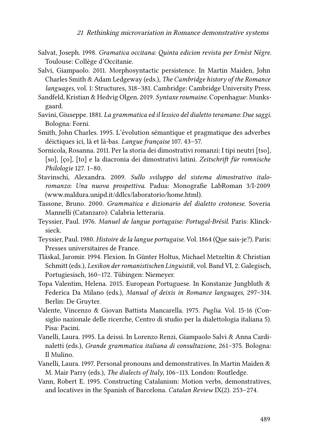- <span id="page-38-4"></span>Salvat, Joseph. 1998. *Gramatica occitana: Quinta edicion revista per Ernèst Nègre*. Toulouse: Collège d'Occitanie.
- <span id="page-38-7"></span>Salvi, Giampaolo. 2011. Morphosyntactic persistence. In Martin Maiden, John Charles Smith & Adam Ledgeway (eds.), *The Cambridge history of the Romance languages*, vol. 1: Structures, 318–381. Cambridge: Cambridge University Press.
- <span id="page-38-2"></span>Sandfeld, Kristian & Hedvig Olgen. 2019. *Syntaxe roumaine*. Copenhague: Munksgaard.
- <span id="page-38-11"></span>Savini, Giuseppe. 1881. *La grammatica ed il lessico del dialetto teramano: Due saggi*. Bologna: Forni.
- <span id="page-38-5"></span>Smith, John Charles. 1995. L'évolution sémantique et pragmatique des adverbes déictiques ici, là et là-bas. *Langue française* 107. 43–57.
- <span id="page-38-1"></span>Sornicola, Rosanna. 2011. Per la storia dei dimostrativi romanzi: I tipi neutri [tso], [so], [ço], [to] e la diacronia dei dimostrativi latini. *Zeitschrift für romnische Philologie* 127. 1–80.
- <span id="page-38-0"></span>Stavinschi, Alexandra. 2009. *Sullo sviluppo del sistema dimostrativo italoromanzo: Una nuova prospettiva*. Padua: Monografie LabRoman 3/I-2009 (www.maldura.unipd.it/ddlcs/laboratorio/home.html).
- <span id="page-38-13"></span>Tassone, Bruno. 2000. *Grammatica e dizionario del dialetto crotonese*. Soveria Mannelli (Catanzaro): Calabria letteraria.
- <span id="page-38-15"></span>Teyssier, Paul. 1976. *Manuel de langue portugaise: Portugal-Brésil*. Paris: Klincksieck.
- <span id="page-38-6"></span>Teyssier, Paul. 1980. *Histoire de la langue portugaise*. Vol. 1864 (Que sais-je?). Paris: Presses universitaires de France.
- <span id="page-38-8"></span>Tláskal, Jaromir. 1994. Flexion. In Günter Holtus, Michael Metzeltin & Christian Schmitt (eds.), *Lexikon der romanistischen Linguistik*, vol. Band VI, 2. Galegisch, Portugiesisch, 160–172. Tübingen: Niemeyer.
- <span id="page-38-9"></span>Topa Valentim, Helena. 2015. European Portuguese. In Konstanze Jungbluth & Federica Da Milano (eds.), *Manual of deixis in Romance languages*, 297–314. Berlin: De Gruyter.
- <span id="page-38-10"></span>Valente, Vincenzo & Giovan Battista Mancarella. 1975. *Puglia*. Vol. 15-16 (Consiglio nazionale delle ricerche, Centro di studio per la dialettologia italiana 5). Pisa: Pacini.
- <span id="page-38-12"></span>Vanelli, Laura. 1995. La deissi. In Lorenzo Renzi, Giampaolo Salvi & Anna Cardinaletti (eds.), *Grande grammatica italiana di consultazione*, 261–375. Bologna: Il Mulino.
- <span id="page-38-3"></span>Vanelli, Laura. 1997. Personal pronouns and demonstratives. In Martin Maiden & M. Mair Parry (eds.), *The dialects of Italy*, 106–113. London: Routledge.
- <span id="page-38-14"></span>Vann, Robert E. 1995. Constructing Catalanism: Motion verbs, demonstratives, and locatives in the Spanish of Barcelona. *Catalan Review* IX(2). 253–274.